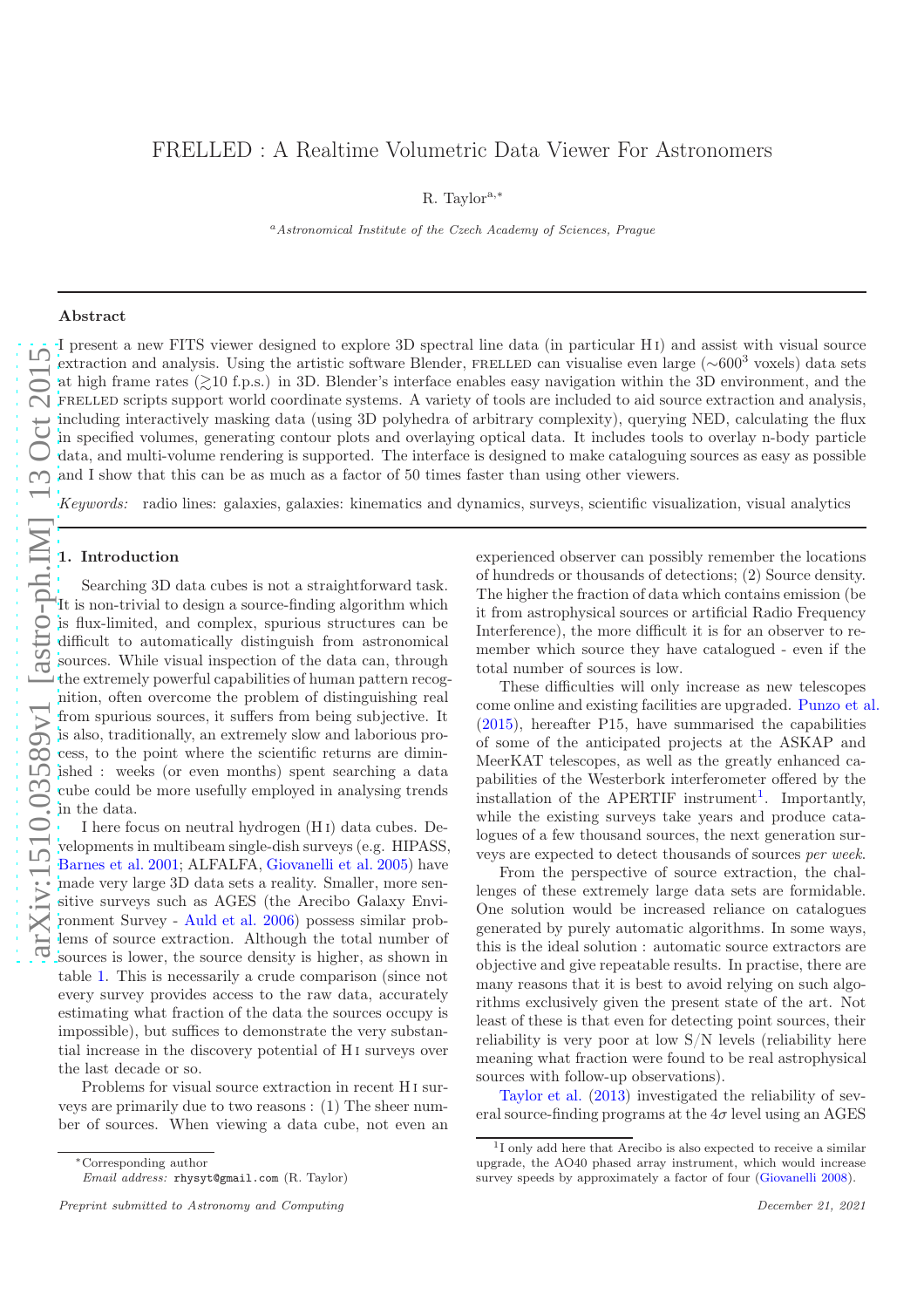# FRELLED : A Realtime Volumetric Data Viewer For Astronomers

R. Taylora,<sup>∗</sup>

<sup>a</sup>Astronomical Institute of the Czech Academy of Sciences, Prague

#### Abstract

I present a new FITS viewer designed to explore 3D spectral line data (in particular H i) and assist with visual source extraction and analysis. Using the artistic software Blender, FRELLED can visualise even large ( $\sim 600^3$  voxels) data sets at high frame rates  $(\geq 10 \text{ f.p.s.})$  in 3D. Blender's interface enables easy navigation within the 3D environment, and the FRELLED scripts support world coordinate systems. A variety of tools are included to aid source extraction and analysis, including interactively masking data (using 3D polyhedra of arbitrary complexity), querying NED, calculating the flux in specified volumes, generating contour plots and overlaying optical data. It includes tools to overlay n-body particle data, and multi-volume rendering is supported. The interface is designed to make cataloguing sources as easy as possible and I show that this can be as much as a factor of 50 times faster than using other viewers.

*Keywords:* radio lines: galaxies, galaxies: kinematics and dynamics, surveys, scientific visualization, visual analytics

## 1. Introduction

Searching 3D data cubes is not a straightforward task. It is non-trivial to design a source-finding algorithm which is flux-limited, and complex, spurious structures can be difficult to automatically distinguish from astronomical sources. While visual inspection of the data can, through the extremely powerful capabilities of human pattern recognition, often overcome the problem of distinguishing real from spurious sources, it suffers from being subjective. It is also, traditionally, an extremely slow and laborious process, to the point where the scientific returns are diminished : weeks (or even months) spent searching a data cube could be more usefully employed in analysing trends in the data.

I here focus on neutral hydrogen (H i) data cubes. Developments in multibeam single-dish surveys (e.g. HIPASS, [Barnes et al. 2001;](#page-15-0) ALFALFA, [Giovanelli et al. 2005\)](#page-15-1) have made very large 3D data sets a reality. Smaller, more sensitive surveys such as AGES (the Arecibo Galaxy Environment Survey - [Auld et al. 2006\)](#page-15-2) possess similar problems of source extraction. Although the total number of sources is lower, the source density is higher, as shown in table [1.](#page-1-0) This is necessarily a crude comparison (since not every survey provides access to the raw data, accurately estimating what fraction of the data the sources occupy is impossible), but suffices to demonstrate the very substantial increase in the discovery potential of H<sub>I</sub> surveys over the last decade or so.

Problems for visual source extraction in recent H i surveys are primarily due to two reasons : (1) The sheer number of sources. When viewing a data cube, not even an experienced observer can possibly remember the locations of hundreds or thousands of detections; (2) Source density. The higher the fraction of data which contains emission (be it from astrophysical sources or artificial Radio Frequency Interference), the more difficult it is for an observer to remember which source they have catalogued - even if the total number of sources is low.

These difficulties will only increase as new telescopes come online and existing facilities are upgraded. [Punzo et al.](#page-15-3) [\(2015\)](#page-15-3), hereafter P15, have summarised the capabilities of some of the anticipated projects at the ASKAP and MeerKAT telescopes, as well as the greatly enhanced capabilities of the Westerbork interferometer offered by the installation of the APERTIF instrument<sup>[1](#page-0-0)</sup>. Importantly, while the existing surveys take years and produce catalogues of a few thousand sources, the next generation surveys are expected to detect thousands of sources *per week*.

From the perspective of source extraction, the challenges of these extremely large data sets are formidable. One solution would be increased reliance on catalogues generated by purely automatic algorithms. In some ways, this is the ideal solution : automatic source extractors are objective and give repeatable results. In practise, there are many reasons that it is best to avoid relying on such algorithms exclusively given the present state of the art. Not least of these is that even for detecting point sources, their reliability is very poor at low S/N levels (reliability here meaning what fraction were found to be real astrophysical sources with follow-up observations).

[Taylor et al.](#page-15-4) [\(2013\)](#page-15-4) investigated the reliability of several source-finding programs at the  $4\sigma$  level using an AGES

<sup>∗</sup>Corresponding author

Email address: rhysyt@gmail.com (R. Taylor)

Preprint submitted to Astronomy and Computing  $December\ 21, 2021$ 

<span id="page-0-0"></span><sup>&</sup>lt;sup>1</sup>I only add here that Arecibo is also expected to receive a similar upgrade, the AO40 phased array instrument, which would increase survey speeds by approximately a factor of four [\(Giovanelli 2008\)](#page-15-5).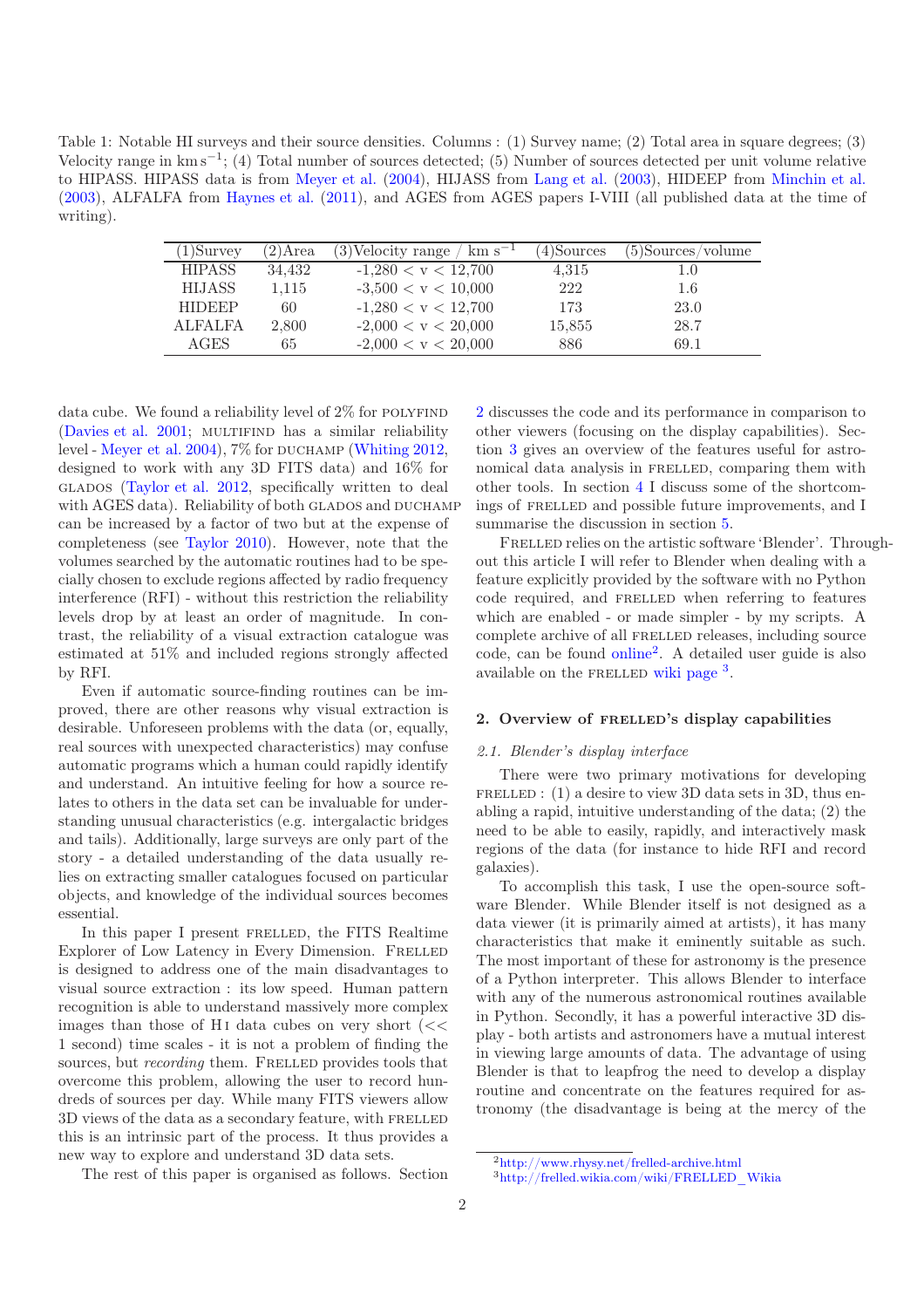<span id="page-1-0"></span>Table 1: Notable HI surveys and their source densities. Columns : (1) Survey name; (2) Total area in square degrees; (3) Velocity range in km s−<sup>1</sup> ; (4) Total number of sources detected; (5) Number of sources detected per unit volume relative to HIPASS. HIPASS data is from [Meyer et al.](#page-15-6) [\(2004\)](#page-15-6), HIJASS from [Lang et al.](#page-15-7) [\(2003\)](#page-15-7), HIDEEP from [Minchin et al.](#page-15-8) [\(2003\)](#page-15-8), ALFALFA from [Haynes et al.](#page-15-9) [\(2011](#page-15-9)), and AGES from AGES papers I-VIII (all published data at the time of writing).

| 1)Survey       | $(2)$ Area | $(3)$ Velocity range / km s <sup>-1</sup> | (4)Sources | $(5)$ Sources/volume |
|----------------|------------|-------------------------------------------|------------|----------------------|
| <b>HIPASS</b>  | 34,432     | $-1,280 < v < 12,700$                     | 4,315      | 1.0                  |
| <b>HIJASS</b>  | 1.115      | $-3,500 < v < 10,000$                     | 222        | 1.6                  |
| <b>HIDEEP</b>  | 60         | $-1,280 < v < 12,700$                     | 173        | 23.0                 |
| <b>ALFALFA</b> | 2.800      | $-2,000 < v < 20,000$                     | 15,855     | 28.7                 |
| <b>AGES</b>    | 65         | $-2,000 < v < 20,000$                     | 886        | 69.1                 |

data cube. We found a reliability level of  $2\%$  for POLYFIND [\(Davies et al. 2001;](#page-15-10) MULTIFIND has a similar reliability level - [Meyer et al. 2004\)](#page-15-6), 7% for DUCHAMP [\(Whiting 2012,](#page-15-11) designed to work with any 3D FITS data) and 16% for glados [\(Taylor et al. 2012,](#page-15-12) specifically written to deal with AGES data). Reliability of both GLADOS and DUCHAMP can be increased by a factor of two but at the expense of completeness (see [Taylor 2010\)](#page-15-13). However, note that the volumes searched by the automatic routines had to be specially chosen to exclude regions affected by radio frequency interference (RFI) - without this restriction the reliability levels drop by at least an order of magnitude. In contrast, the reliability of a visual extraction catalogue was estimated at 51% and included regions strongly affected by RFI.

Even if automatic source-finding routines can be improved, there are other reasons why visual extraction is desirable. Unforeseen problems with the data (or, equally, real sources with unexpected characteristics) may confuse automatic programs which a human could rapidly identify and understand. An intuitive feeling for how a source relates to others in the data set can be invaluable for understanding unusual characteristics (e.g. intergalactic bridges and tails). Additionally, large surveys are only part of the story - a detailed understanding of the data usually relies on extracting smaller catalogues focused on particular objects, and knowledge of the individual sources becomes essential.

In this paper I present FRELLED, the FITS Realtime Explorer of Low Latency in Every Dimension. FRELLED is designed to address one of the main disadvantages to visual source extraction : its low speed. Human pattern recognition is able to understand massively more complex images than those of H<sub>I</sub> data cubes on very short  $\ll$ 1 second) time scales - it is not a problem of finding the sources, but *recording* them. FRELLED provides tools that overcome this problem, allowing the user to record hundreds of sources per day. While many FITS viewers allow 3D views of the data as a secondary feature, with FRELLED this is an intrinsic part of the process. It thus provides a new way to explore and understand 3D data sets.

The rest of this paper is organised as follows. Section

[2](#page-1-1) discusses the code and its performance in comparison to other viewers (focusing on the display capabilities). Section [3](#page-10-0) gives an overview of the features useful for astronomical data analysis in FRELLED, comparing them with other tools. In section [4](#page-13-0) I discuss some of the shortcomings of FRELLED and possible future improvements, and I summarise the discussion in section [5.](#page-14-0)

FRELLED relies on the artistic software 'Blender'. Throughout this article I will refer to Blender when dealing with a feature explicitly provided by the software with no Python code required, and FRELLED when referring to features which are enabled - or made simpler - by my scripts. A complete archive of all FRELLED releases, including source code, can be found [online](http://www.rhysy.net/frelled-archive.html)[2](#page-1-2) . A detailed user guide is also available on the FRELLED [wiki page](http://frelled.wikia.com/wiki/FRELLED_Wikia)<sup>[3](#page-1-3)</sup>.

### <span id="page-1-1"></span>2. Overview of FRELLED's display capabilities

### *2.1. Blender's display interface*

There were two primary motivations for developing  $FRELLED$ : (1) a desire to view 3D data sets in 3D, thus enabling a rapid, intuitive understanding of the data; (2) the need to be able to easily, rapidly, and interactively mask regions of the data (for instance to hide RFI and record galaxies).

To accomplish this task, I use the open-source software Blender. While Blender itself is not designed as a data viewer (it is primarily aimed at artists), it has many characteristics that make it eminently suitable as such. The most important of these for astronomy is the presence of a Python interpreter. This allows Blender to interface with any of the numerous astronomical routines available in Python. Secondly, it has a powerful interactive 3D display - both artists and astronomers have a mutual interest in viewing large amounts of data. The advantage of using Blender is that to leapfrog the need to develop a display routine and concentrate on the features required for astronomy (the disadvantage is being at the mercy of the

 $^{2}$ <http://www.rhysy.net/frelled-archive.html>

<span id="page-1-3"></span><span id="page-1-2"></span><sup>3</sup>[http://frelled.wikia.com/wiki/FRELLED\\_Wikia](http://frelled.wikia.com/wiki/FRELLED_Wikia)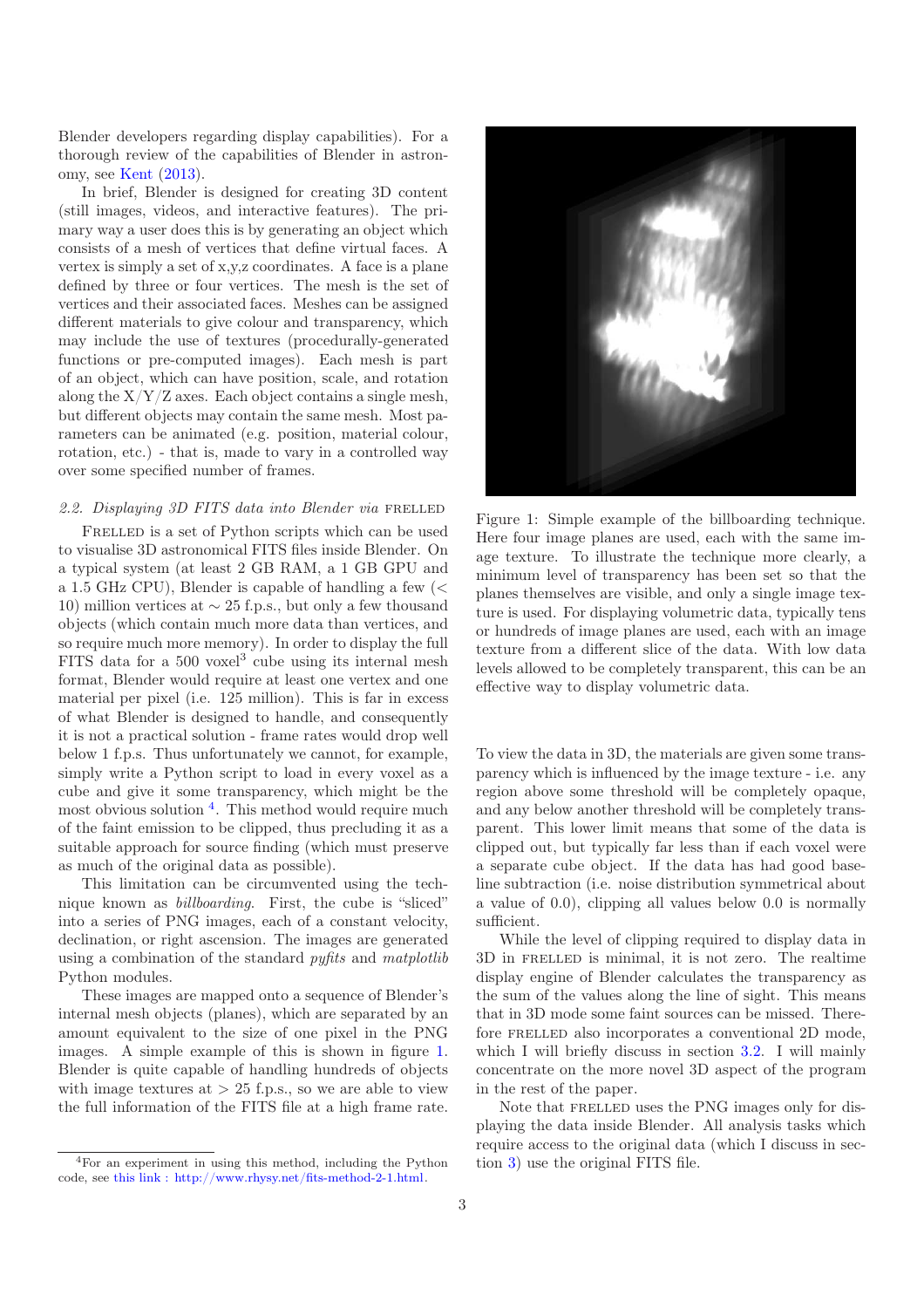Blender developers regarding display capabilities). For a thorough review of the capabilities of Blender in astronomy, see [Kent](#page-15-14) [\(2013\)](#page-15-14).

In brief, Blender is designed for creating 3D content (still images, videos, and interactive features). The primary way a user does this is by generating an object which consists of a mesh of vertices that define virtual faces. A vertex is simply a set of x,y,z coordinates. A face is a plane defined by three or four vertices. The mesh is the set of vertices and their associated faces. Meshes can be assigned different materials to give colour and transparency, which may include the use of textures (procedurally-generated functions or pre-computed images). Each mesh is part of an object, which can have position, scale, and rotation along the  $X/Y/Z$  axes. Each object contains a single mesh, but different objects may contain the same mesh. Most parameters can be animated (e.g. position, material colour, rotation, etc.) - that is, made to vary in a controlled way over some specified number of frames.

# <span id="page-2-2"></span>2.2. Displaying 3D FITS data into Blender via FRELLED

FRELLED is a set of Python scripts which can be used to visualise 3D astronomical FITS files inside Blender. On a typical system (at least 2 GB RAM, a 1 GB GPU and a 1.5 GHz CPU), Blender is capable of handling a few (< 10) million vertices at ∼ 25 f.p.s., but only a few thousand objects (which contain much more data than vertices, and so require much more memory). In order to display the full FITS data for a  $500$  voxel<sup>3</sup> cube using its internal mesh format, Blender would require at least one vertex and one material per pixel (i.e. 125 million). This is far in excess of what Blender is designed to handle, and consequently it is not a practical solution - frame rates would drop well below 1 f.p.s. Thus unfortunately we cannot, for example, simply write a Python script to load in every voxel as a cube and give it some transparency, which might be the most obvious solution <sup>[4](#page-2-0)</sup>. This method would require much of the faint emission to be clipped, thus precluding it as a suitable approach for source finding (which must preserve as much of the original data as possible).

This limitation can be circumvented using the technique known as *billboarding*. First, the cube is "sliced" into a series of PNG images, each of a constant velocity, declination, or right ascension. The images are generated using a combination of the standard *pyfits* and *matplotlib* Python modules.

These images are mapped onto a sequence of Blender's internal mesh objects (planes), which are separated by an amount equivalent to the size of one pixel in the PNG images. A simple example of this is shown in figure [1.](#page-2-1) Blender is quite capable of handling hundreds of objects with image textures at  $> 25$  f.p.s., so we are able to view the full information of the FITS file at a high frame rate.

<span id="page-2-1"></span>

Figure 1: Simple example of the billboarding technique. Here four image planes are used, each with the same image texture. To illustrate the technique more clearly, a minimum level of transparency has been set so that the planes themselves are visible, and only a single image texture is used. For displaying volumetric data, typically tens or hundreds of image planes are used, each with an image texture from a different slice of the data. With low data levels allowed to be completely transparent, this can be an effective way to display volumetric data.

To view the data in 3D, the materials are given some transparency which is influenced by the image texture - i.e. any region above some threshold will be completely opaque, and any below another threshold will be completely transparent. This lower limit means that some of the data is clipped out, but typically far less than if each voxel were a separate cube object. If the data has had good baseline subtraction (i.e. noise distribution symmetrical about a value of 0.0), clipping all values below 0.0 is normally sufficient.

While the level of clipping required to display data in 3D in FRELLED is minimal, it is not zero. The realtime display engine of Blender calculates the transparency as the sum of the values along the line of sight. This means that in 3D mode some faint sources can be missed. Therefore FRELLED also incorporates a conventional 2D mode, which I will briefly discuss in section [3.2.](#page-11-0) I will mainly concentrate on the more novel 3D aspect of the program in the rest of the paper.

Note that FRELLED uses the PNG images only for displaying the data inside Blender. All analysis tasks which require access to the original data (which I discuss in section [3\)](#page-10-0) use the original FITS file.

<span id="page-2-0"></span><sup>4</sup>For an experiment in using this method, including the Python code, see [this link : http://www.rhysy.net/fits-method-2-1.html.](http://www.rhysy.net/fits-method-2-1.html)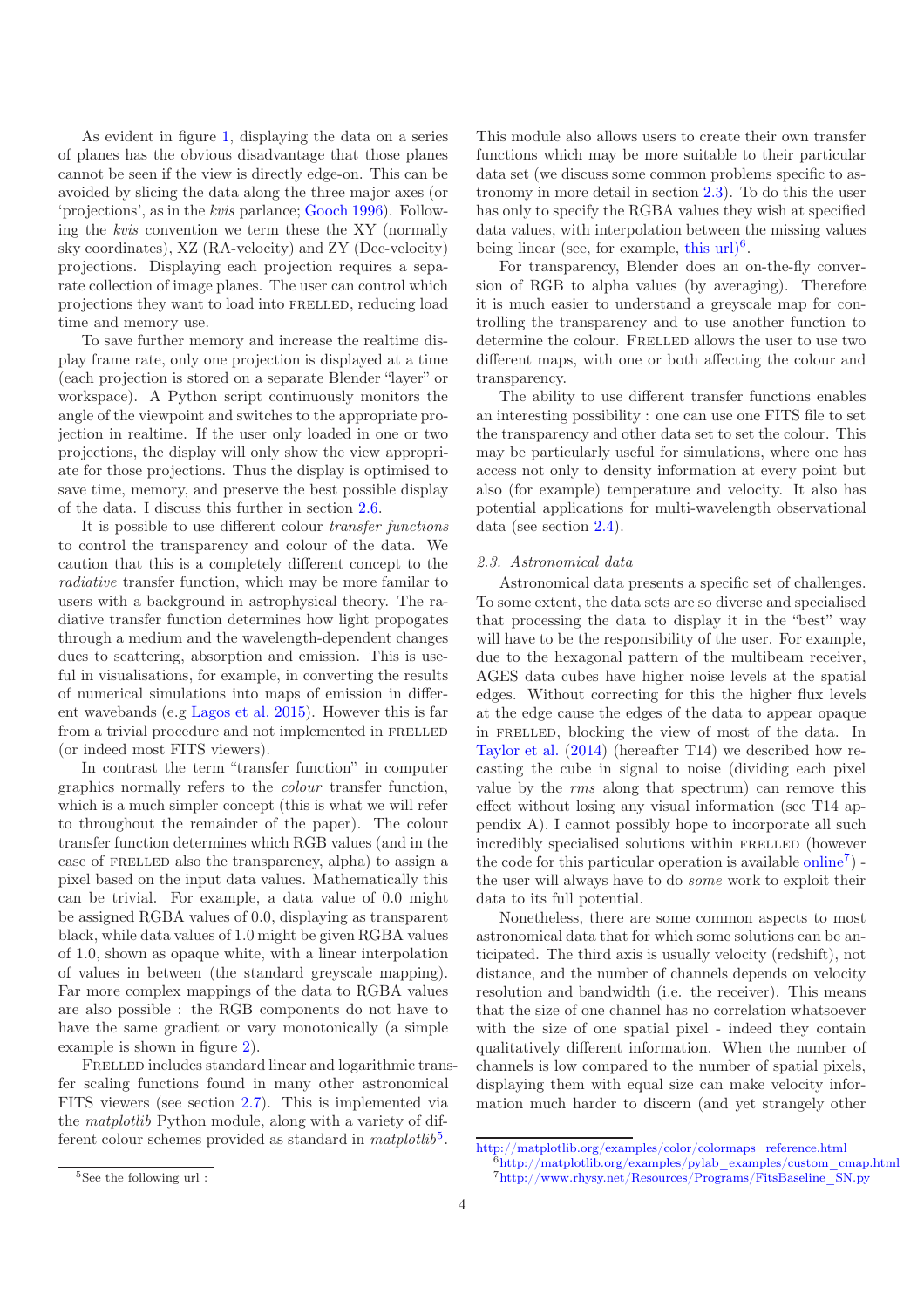As evident in figure [1,](#page-2-1) displaying the data on a series of planes has the obvious disadvantage that those planes cannot be seen if the view is directly edge-on. This can be avoided by slicing the data along the three major axes (or 'projections', as in the *kvis* parlance; [Gooch 1996\)](#page-15-15). Following the *kvis* convention we term these the XY (normally sky coordinates), XZ (RA-velocity) and ZY (Dec-velocity) projections. Displaying each projection requires a separate collection of image planes. The user can control which projections they want to load into FRELLED, reducing load time and memory use.

To save further memory and increase the realtime display frame rate, only one projection is displayed at a time (each projection is stored on a separate Blender "layer" or workspace). A Python script continuously monitors the angle of the viewpoint and switches to the appropriate projection in realtime. If the user only loaded in one or two projections, the display will only show the view appropriate for those projections. Thus the display is optimised to save time, memory, and preserve the best possible display of the data. I discuss this further in section [2.6.](#page-7-0)

It is possible to use different colour *transfer functions* to control the transparency and colour of the data. We caution that this is a completely different concept to the *radiative* transfer function, which may be more familar to users with a background in astrophysical theory. The radiative transfer function determines how light propogates through a medium and the wavelength-dependent changes dues to scattering, absorption and emission. This is useful in visualisations, for example, in converting the results of numerical simulations into maps of emission in different wavebands (e.g [Lagos et al. 2015\)](#page-15-16). However this is far from a trivial procedure and not implemented in FRELLED (or indeed most FITS viewers).

In contrast the term "transfer function" in computer graphics normally refers to the *colour* transfer function, which is a much simpler concept (this is what we will refer to throughout the remainder of the paper). The colour transfer function determines which RGB values (and in the case of FRELLED also the transparency, alpha) to assign a pixel based on the input data values. Mathematically this can be trivial. For example, a data value of 0.0 might be assigned RGBA values of 0.0, displaying as transparent black, while data values of 1.0 might be given RGBA values of 1.0, shown as opaque white, with a linear interpolation of values in between (the standard greyscale mapping). Far more complex mappings of the data to RGBA values are also possible : the RGB components do not have to have the same gradient or vary monotonically (a simple example is shown in figure [2\)](#page-4-0).

<span id="page-3-0"></span>FRELLED includes standard linear and logarithmic transfer scaling functions found in many other astronomical FITS viewers (see section [2.7\)](#page-8-0). This is implemented via the *matplotlib* Python module, along with a variety of different colour schemes provided as standard in *matplotlib*<sup>[5](#page-3-0)</sup>.

This module also allows users to create their own transfer functions which may be more suitable to their particular data set (we discuss some common problems specific to astronomy in more detail in section [2.3\)](#page-3-1). To do this the user has only to specify the RGBA values they wish at specified data values, with interpolation between the missing values being linear (see, for example, this  $url)^6$  $url)^6$ .

For transparency, Blender does an on-the-fly conversion of RGB to alpha values (by averaging). Therefore it is much easier to understand a greyscale map for controlling the transparency and to use another function to determine the colour. FRELLED allows the user to use two different maps, with one or both affecting the colour and transparency.

The ability to use different transfer functions enables an interesting possibility : one can use one FITS file to set the transparency and other data set to set the colour. This may be particularly useful for simulations, where one has access not only to density information at every point but also (for example) temperature and velocity. It also has potential applications for multi-wavelength observational data (see section [2.4\)](#page-4-1).

#### <span id="page-3-1"></span>*2.3. Astronomical data*

Astronomical data presents a specific set of challenges. To some extent, the data sets are so diverse and specialised that processing the data to display it in the "best" way will have to be the responsibility of the user. For example, due to the hexagonal pattern of the multibeam receiver, AGES data cubes have higher noise levels at the spatial edges. Without correcting for this the higher flux levels at the edge cause the edges of the data to appear opaque in FRELLED, blocking the view of most of the data. In [Taylor et al.](#page-15-17) [\(2014\)](#page-15-17) (hereafter T14) we described how recasting the cube in signal to noise (dividing each pixel value by the *rms* along that spectrum) can remove this effect without losing any visual information (see T14 appendix A). I cannot possibly hope to incorporate all such incredibly specialised solutions within FRELLED (however the code for this particular operation is available [online](http://www.rhysy.net/Resources/Programs/FitsBaseline_SN.py)<sup>[7](#page-3-3)</sup>) the user will always have to do *some* work to exploit their data to its full potential.

Nonetheless, there are some common aspects to most astronomical data that for which some solutions can be anticipated. The third axis is usually velocity (redshift), not distance, and the number of channels depends on velocity resolution and bandwidth (i.e. the receiver). This means that the size of one channel has no correlation whatsoever with the size of one spatial pixel - indeed they contain qualitatively different information. When the number of channels is low compared to the number of spatial pixels, displaying them with equal size can make velocity information much harder to discern (and yet strangely other

4

[http://matplotlib.org/examples/color/colormaps\\_reference.html](http://matplotlib.org/examples/color/colormaps_reference.html)

<span id="page-3-3"></span><span id="page-3-2"></span> $6$ [http://matplotlib.org/examples/pylab\\_examples/custom\\_cmap.html](http://matplotlib.org/examples/pylab_examples/custom_cmap.html) <sup>7</sup>[http://www.rhysy.net/Resources/Programs/FitsBaseline\\_SN.py](http://www.rhysy.net/Resources/Programs/FitsBaseline_SN.py)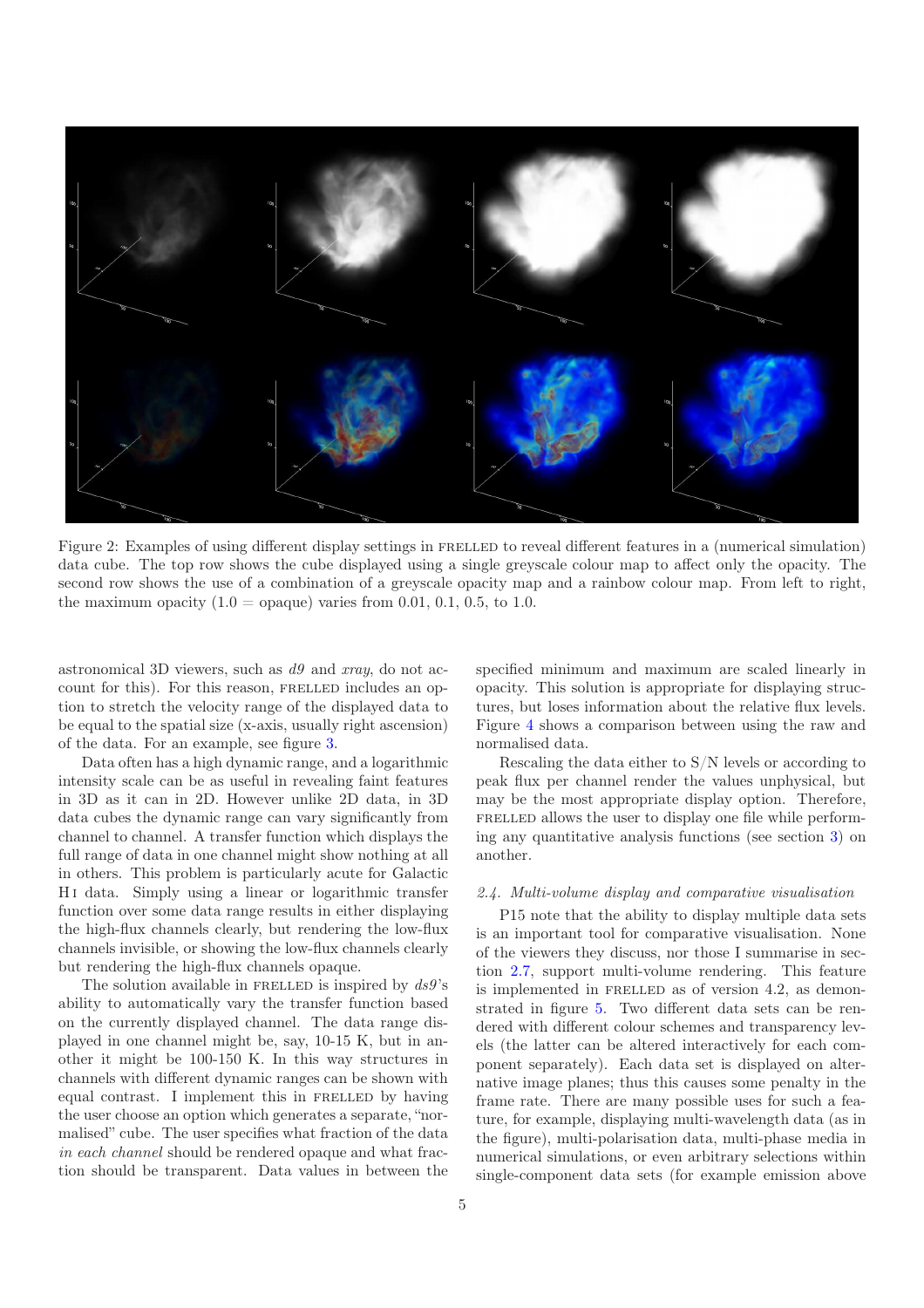<span id="page-4-0"></span>

Figure 2: Examples of using different display settings in FRELLED to reveal different features in a (numerical simulation) data cube. The top row shows the cube displayed using a single greyscale colour map to affect only the opacity. The second row shows the use of a combination of a greyscale opacity map and a rainbow colour map. From left to right, the maximum opacity  $(1.0 = \text{opause})$  varies from 0.01, 0.1, 0.5, to 1.0.

astronomical 3D viewers, such as *d9* and *xray*, do not account for this). For this reason, FRELLED includes an option to stretch the velocity range of the displayed data to be equal to the spatial size (x-axis, usually right ascension) of the data. For an example, see figure [3.](#page-5-0)

Data often has a high dynamic range, and a logarithmic intensity scale can be as useful in revealing faint features in 3D as it can in 2D. However unlike 2D data, in 3D data cubes the dynamic range can vary significantly from channel to channel. A transfer function which displays the full range of data in one channel might show nothing at all in others. This problem is particularly acute for Galactic H i data. Simply using a linear or logarithmic transfer function over some data range results in either displaying the high-flux channels clearly, but rendering the low-flux channels invisible, or showing the low-flux channels clearly but rendering the high-flux channels opaque.

The solution available in FRELLED is inspired by  $dsg$ 's ability to automatically vary the transfer function based on the currently displayed channel. The data range displayed in one channel might be, say, 10-15 K, but in another it might be 100-150 K. In this way structures in channels with different dynamic ranges can be shown with equal contrast. I implement this in FRELLED by having the user choose an option which generates a separate, "normalised" cube. The user specifies what fraction of the data *in each channel* should be rendered opaque and what fraction should be transparent. Data values in between the

specified minimum and maximum are scaled linearly in opacity. This solution is appropriate for displaying structures, but loses information about the relative flux levels. Figure [4](#page-6-0) shows a comparison between using the raw and normalised data.

Rescaling the data either to S/N levels or according to peak flux per channel render the values unphysical, but may be the most appropriate display option. Therefore, FRELLED allows the user to display one file while performing any quantitative analysis functions (see section [3\)](#page-10-0) on another.

### <span id="page-4-1"></span>*2.4. Multi-volume display and comparative visualisation*

P15 note that the ability to display multiple data sets is an important tool for comparative visualisation. None of the viewers they discuss, nor those I summarise in section [2.7,](#page-8-0) support multi-volume rendering. This feature is implemented in  $FRELED$  as of version 4.2, as demonstrated in figure [5.](#page-7-1) Two different data sets can be rendered with different colour schemes and transparency levels (the latter can be altered interactively for each component separately). Each data set is displayed on alternative image planes; thus this causes some penalty in the frame rate. There are many possible uses for such a feature, for example, displaying multi-wavelength data (as in the figure), multi-polarisation data, multi-phase media in numerical simulations, or even arbitrary selections within single-component data sets (for example emission above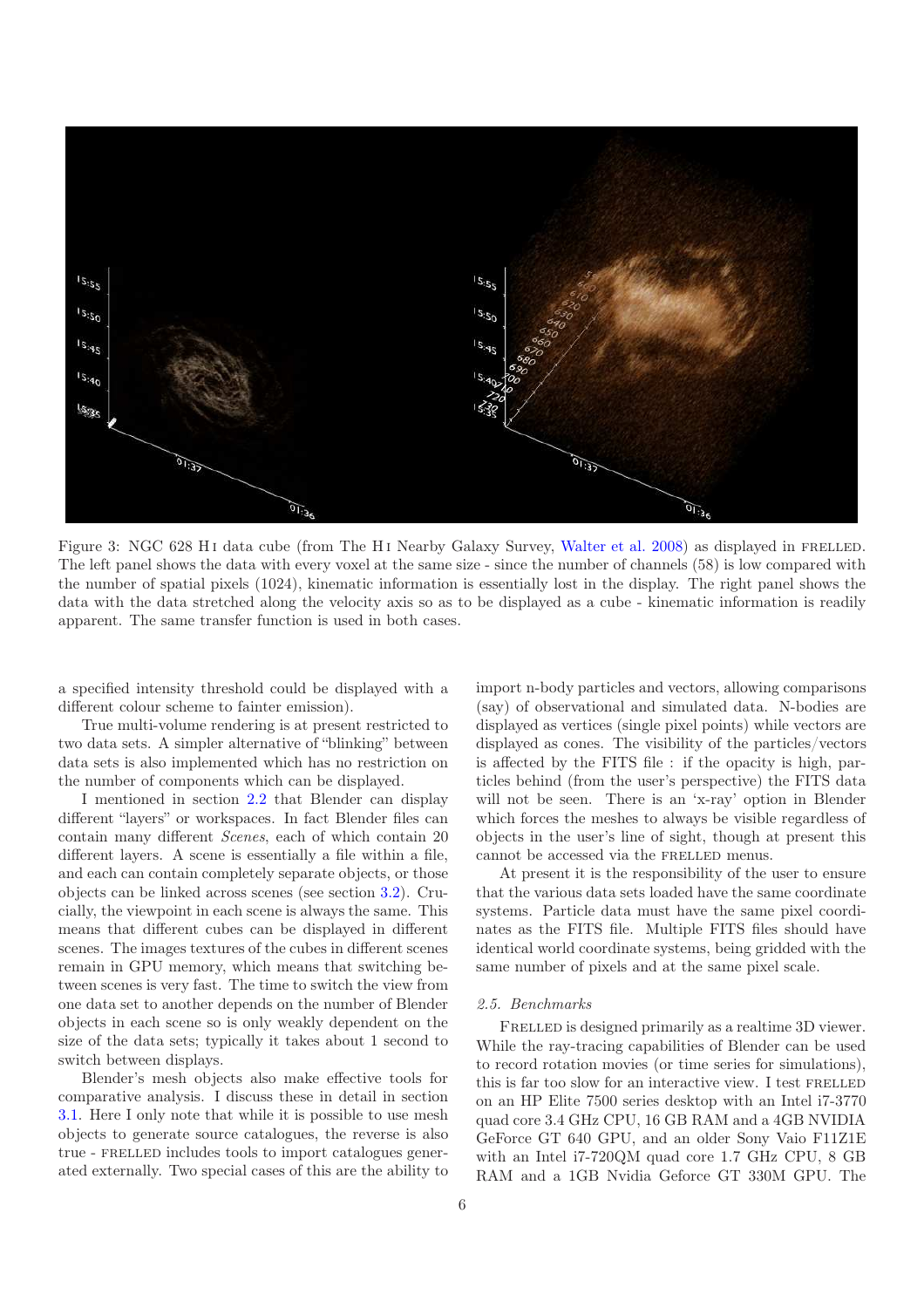<span id="page-5-0"></span>

Figure 3: NGC 628 H<sub>I</sub> data cube (from The H<sub>I</sub> Nearby Galaxy Survey, [Walter et al. 2008\)](#page-15-18) as displayed in FRELLED. The left panel shows the data with every voxel at the same size - since the number of channels (58) is low compared with the number of spatial pixels (1024), kinematic information is essentially lost in the display. The right panel shows the data with the data stretched along the velocity axis so as to be displayed as a cube - kinematic information is readily apparent. The same transfer function is used in both cases.

a specified intensity threshold could be displayed with a different colour scheme to fainter emission).

True multi-volume rendering is at present restricted to two data sets. A simpler alternative of "blinking" between data sets is also implemented which has no restriction on the number of components which can be displayed.

I mentioned in section [2.2](#page-2-2) that Blender can display different "layers" or workspaces. In fact Blender files can contain many different *Scenes*, each of which contain 20 different layers. A scene is essentially a file within a file, and each can contain completely separate objects, or those objects can be linked across scenes (see section [3.2\)](#page-11-0). Crucially, the viewpoint in each scene is always the same. This means that different cubes can be displayed in different scenes. The images textures of the cubes in different scenes remain in GPU memory, which means that switching between scenes is very fast. The time to switch the view from one data set to another depends on the number of Blender objects in each scene so is only weakly dependent on the size of the data sets; typically it takes about 1 second to switch between displays.

Blender's mesh objects also make effective tools for comparative analysis. I discuss these in detail in section [3.1.](#page-10-1) Here I only note that while it is possible to use mesh objects to generate source catalogues, the reverse is also true - FRELLED includes tools to import catalogues generated externally. Two special cases of this are the ability to

import n-body particles and vectors, allowing comparisons (say) of observational and simulated data. N-bodies are displayed as vertices (single pixel points) while vectors are displayed as cones. The visibility of the particles/vectors is affected by the FITS file : if the opacity is high, particles behind (from the user's perspective) the FITS data will not be seen. There is an 'x-ray' option in Blender which forces the meshes to always be visible regardless of objects in the user's line of sight, though at present this cannot be accessed via the FRELLED menus.

At present it is the responsibility of the user to ensure that the various data sets loaded have the same coordinate systems. Particle data must have the same pixel coordinates as the FITS file. Multiple FITS files should have identical world coordinate systems, being gridded with the same number of pixels and at the same pixel scale.

# <span id="page-5-1"></span>*2.5. Benchmarks*

FRELLED is designed primarily as a realtime 3D viewer. While the ray-tracing capabilities of Blender can be used to record rotation movies (or time series for simulations), this is far too slow for an interactive view. I test FRELLED on an HP Elite 7500 series desktop with an Intel i7-3770 quad core 3.4 GHz CPU, 16 GB RAM and a 4GB NVIDIA GeForce GT 640 GPU, and an older Sony Vaio F11Z1E with an Intel i7-720QM quad core 1.7 GHz CPU, 8 GB RAM and a 1GB Nvidia Geforce GT 330M GPU. The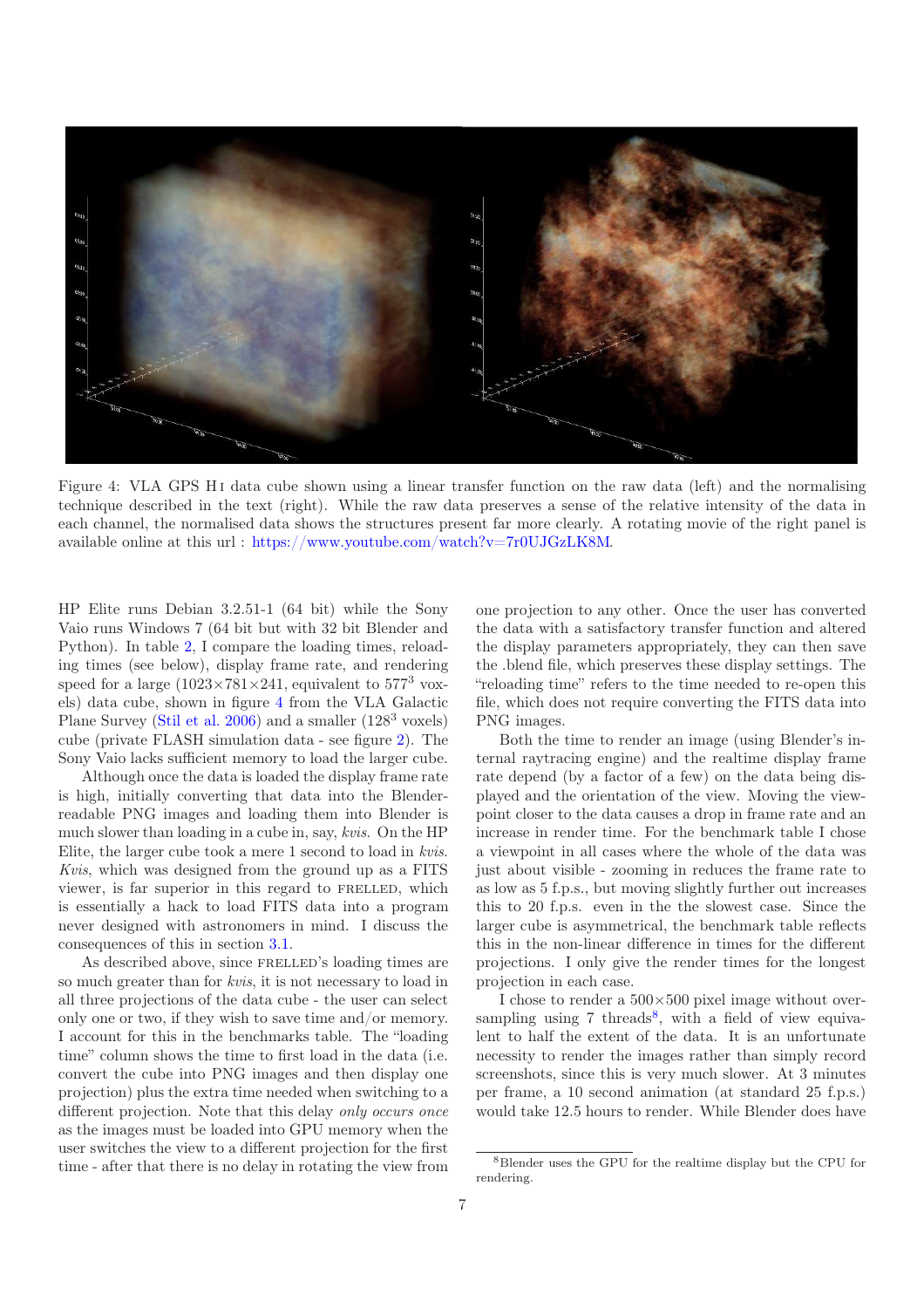<span id="page-6-0"></span>

Figure 4: VLA GPS H<sub>I</sub> data cube shown using a linear transfer function on the raw data (left) and the normalising technique described in the text (right). While the raw data preserves a sense of the relative intensity of the data in each channel, the normalised data shows the structures present far more clearly. A rotating movie of the right panel is available online at this url : [https://www.youtube.com/watch?v=7r0UJGzLK8M.](https://www.youtube.com/watch?v=7r0UJGzLK8M)

HP Elite runs Debian 3.2.51-1 (64 bit) while the Sony Vaio runs Windows 7 (64 bit but with 32 bit Blender and Python). In table [2,](#page-7-2) I compare the loading times, reloading times (see below), display frame rate, and rendering speed for a large  $(1023\times781\times241)$ , equivalent to 577<sup>3</sup> voxels) data cube, shown in figure [4](#page-6-0) from the VLA Galactic Plane Survey [\(Stil et al. 2006\)](#page-15-19) and a smaller (128<sup>3</sup> voxels) cube (private FLASH simulation data - see figure [2\)](#page-4-0). The Sony Vaio lacks sufficient memory to load the larger cube.

Although once the data is loaded the display frame rate is high, initially converting that data into the Blenderreadable PNG images and loading them into Blender is much slower than loading in a cube in, say, *kvis*. On the HP Elite, the larger cube took a mere 1 second to load in *kvis*. *Kvis*, which was designed from the ground up as a FITS viewer, is far superior in this regard to FRELLED, which is essentially a hack to load FITS data into a program never designed with astronomers in mind. I discuss the consequences of this in section [3.1.](#page-10-1)

As described above, since FRELLED's loading times are so much greater than for *kvis*, it is not necessary to load in all three projections of the data cube - the user can select only one or two, if they wish to save time and/or memory. I account for this in the benchmarks table. The "loading time" column shows the time to first load in the data (i.e. convert the cube into PNG images and then display one projection) plus the extra time needed when switching to a different projection. Note that this delay *only occurs once* as the images must be loaded into GPU memory when the user switches the view to a different projection for the first time - after that there is no delay in rotating the view from one projection to any other. Once the user has converted the data with a satisfactory transfer function and altered the display parameters appropriately, they can then save the .blend file, which preserves these display settings. The "reloading time" refers to the time needed to re-open this file, which does not require converting the FITS data into PNG images.

Both the time to render an image (using Blender's internal raytracing engine) and the realtime display frame rate depend (by a factor of a few) on the data being displayed and the orientation of the view. Moving the viewpoint closer to the data causes a drop in frame rate and an increase in render time. For the benchmark table I chose a viewpoint in all cases where the whole of the data was just about visible - zooming in reduces the frame rate to as low as 5 f.p.s., but moving slightly further out increases this to 20 f.p.s. even in the the slowest case. Since the larger cube is asymmetrical, the benchmark table reflects this in the non-linear difference in times for the different projections. I only give the render times for the longest projection in each case.

I chose to render a 500×500 pixel image without over-sampling using 7 threads<sup>[8](#page-6-1)</sup>, with a field of view equivalent to half the extent of the data. It is an unfortunate necessity to render the images rather than simply record screenshots, since this is very much slower. At 3 minutes per frame, a 10 second animation (at standard 25 f.p.s.) would take 12.5 hours to render. While Blender does have

<span id="page-6-1"></span><sup>8</sup>Blender uses the GPU for the realtime display but the CPU for rendering.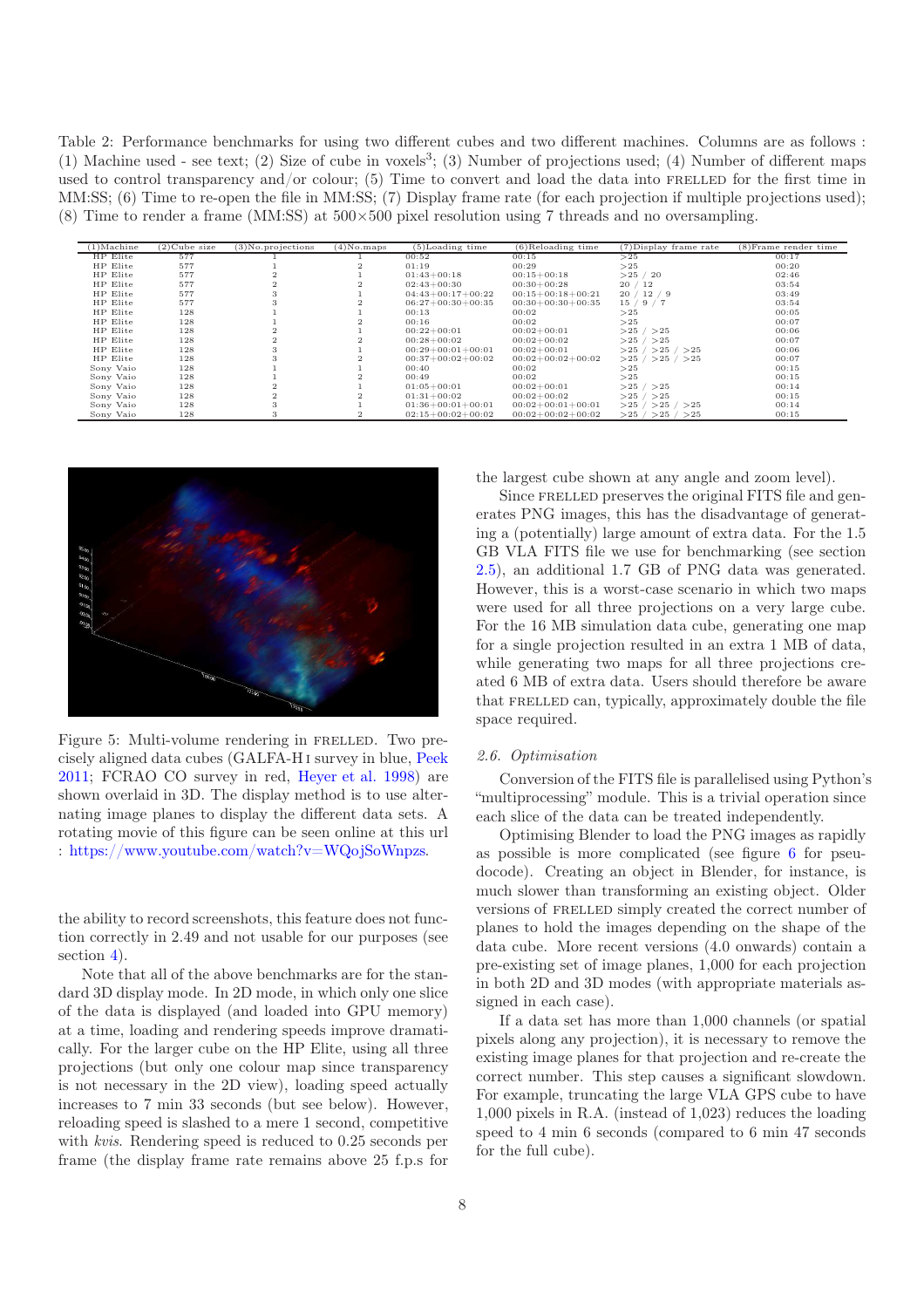<span id="page-7-2"></span>Table 2: Performance benchmarks for using two different cubes and two different machines. Columns are as follows :  $(1)$  Machine used - see text;  $(2)$  Size of cube in voxels<sup>3</sup>;  $(3)$  Number of projections used;  $(4)$  Number of different maps used to control transparency and/or colour;  $(5)$  Time to convert and load the data into FRELLED for the first time in MM:SS; (6) Time to re-open the file in MM:SS; (7) Display frame rate (for each projection if multiple projections used); (8) Time to render a frame (MM:SS) at 500×500 pixel resolution using 7 threads and no oversampling.

| $(1)$ Machine | $(2)$ Cube size | $(3)$ No.projections | $(4)$ No.maps | $(5)$ Loading time  | $(6)$ Reloading time | $(7)$ Display frame rate | (8) Frame render time |
|---------------|-----------------|----------------------|---------------|---------------------|----------------------|--------------------------|-----------------------|
| HP Elite      | 577             |                      |               | 00:52               | 00:15                | >25                      | 00:17                 |
| HP Elite      | 577             |                      |               | 01:19               | 00:29                | >25                      | 00:20                 |
| HP Elite      | 577             |                      |               | $01:43+00:18$       | $00:15+00:18$        | >25/20                   | 02:46                 |
| HP Elite      | 577             |                      |               | $02:43+00:30$       | $00:30+00:28$        | 20/12                    | 03:54                 |
| HP Elite      | 577             |                      |               | $04:43+00:17+00:22$ | $00:15+00:18+00:21$  | 20 / 12 / 9              | 03:49                 |
| HP Elite      | 577             |                      |               | $06:27+00:30+00:35$ | $00:30+00:30+00:35$  | 15 / 9 / 7               | 03:54                 |
| HP Elite      | 128             |                      |               | 00:13               | 00:02                | >25                      | 00:05                 |
| HP Elite      | 128             |                      |               | 00:16               | 00:02                | >25                      | 00:07                 |
| HP Elite      | 128             |                      |               | $00:22+00:01$       | $00:02+00:01$        | >25 / >25                | 00:06                 |
| HP Elite      | 128             |                      |               | $00:28+00:02$       | $00:02+00:02$        | >25 / >25                | 00:07                 |
| HP Elite      | 128             |                      |               | $00:29+00:01+00:01$ | $00:02+00:01$        | $>25$ / $>25$ / $>25$    | 00:06                 |
| HP Elite      | 128             |                      |               | $00:37+00:02+00:02$ | $00:02+00:02+00:02$  | $>25$ / $>25$ / $>25$    | 00:07                 |
| Sony Vaio     | 128             |                      |               | 00:40               | 00:02                | >25                      | 00:15                 |
| Sony Vaio     | 128             |                      |               | 00:49               | 00:02                | >25                      | 00:15                 |
| Sony Vaio     | 128             |                      |               | $01:05+00:01$       | $00:02+00:01$        | >25 / >25                | 00:14                 |
| Sony Vaio     | 128             |                      |               | $01:31+00:02$       | $00:02+00:02$        | >25 / >25                | 00:15                 |
| Sony Vaio     | 128             |                      |               | $01:36+00:01+00:01$ | $00:02+00:01+00:01$  | >25 / >25 / >25          | 00:14                 |
| Sony Vaio     | 128             |                      |               | $02:15+00:02+00:02$ | $00:02+00:02+00:02$  | $>25$ / $>25$ / $>25$    | 00:15                 |

<span id="page-7-1"></span>

Figure 5: Multi-volume rendering in FRELLED. Two precisely aligned data cubes (GALFA-H i survey in blue, [Peek](#page-15-20) [2011;](#page-15-20) FCRAO CO survey in red, [Heyer et al. 1998](#page-15-21)) are shown overlaid in 3D. The display method is to use alternating image planes to display the different data sets. A rotating movie of this figure can be seen online at this url : [https://www.youtube.com/watch?v=WQojSoWnpzs.](https://www.youtube.com/watch?v=WQojSoWnpzs)

the ability to record screenshots, this feature does not function correctly in 2.49 and not usable for our purposes (see section [4\)](#page-13-0).

Note that all of the above benchmarks are for the standard 3D display mode. In 2D mode, in which only one slice of the data is displayed (and loaded into GPU memory) at a time, loading and rendering speeds improve dramatically. For the larger cube on the HP Elite, using all three projections (but only one colour map since transparency is not necessary in the 2D view), loading speed actually increases to 7 min 33 seconds (but see below). However, reloading speed is slashed to a mere 1 second, competitive with *kvis*. Rendering speed is reduced to 0.25 seconds per frame (the display frame rate remains above 25 f.p.s for

the largest cube shown at any angle and zoom level).

Since FRELLED preserves the original FITS file and generates PNG images, this has the disadvantage of generating a (potentially) large amount of extra data. For the 1.5 GB VLA FITS file we use for benchmarking (see section [2.5\)](#page-5-1), an additional 1.7 GB of PNG data was generated. However, this is a worst-case scenario in which two maps were used for all three projections on a very large cube. For the 16 MB simulation data cube, generating one map for a single projection resulted in an extra 1 MB of data, while generating two maps for all three projections created 6 MB of extra data. Users should therefore be aware that FRELLED can, typically, approximately double the file space required.

#### <span id="page-7-0"></span>*2.6. Optimisation*

Conversion of the FITS file is parallelised using Python's "multiprocessing" module. This is a trivial operation since each slice of the data can be treated independently.

Optimising Blender to load the PNG images as rapidly as possible is more complicated (see figure [6](#page-8-1) for pseudocode). Creating an object in Blender, for instance, is much slower than transforming an existing object. Older versions of FRELLED simply created the correct number of planes to hold the images depending on the shape of the data cube. More recent versions (4.0 onwards) contain a pre-existing set of image planes, 1,000 for each projection in both 2D and 3D modes (with appropriate materials assigned in each case).

If a data set has more than 1,000 channels (or spatial pixels along any projection), it is necessary to remove the existing image planes for that projection and re-create the correct number. This step causes a significant slowdown. For example, truncating the large VLA GPS cube to have 1,000 pixels in R.A. (instead of 1,023) reduces the loading speed to 4 min 6 seconds (compared to 6 min 47 seconds for the full cube).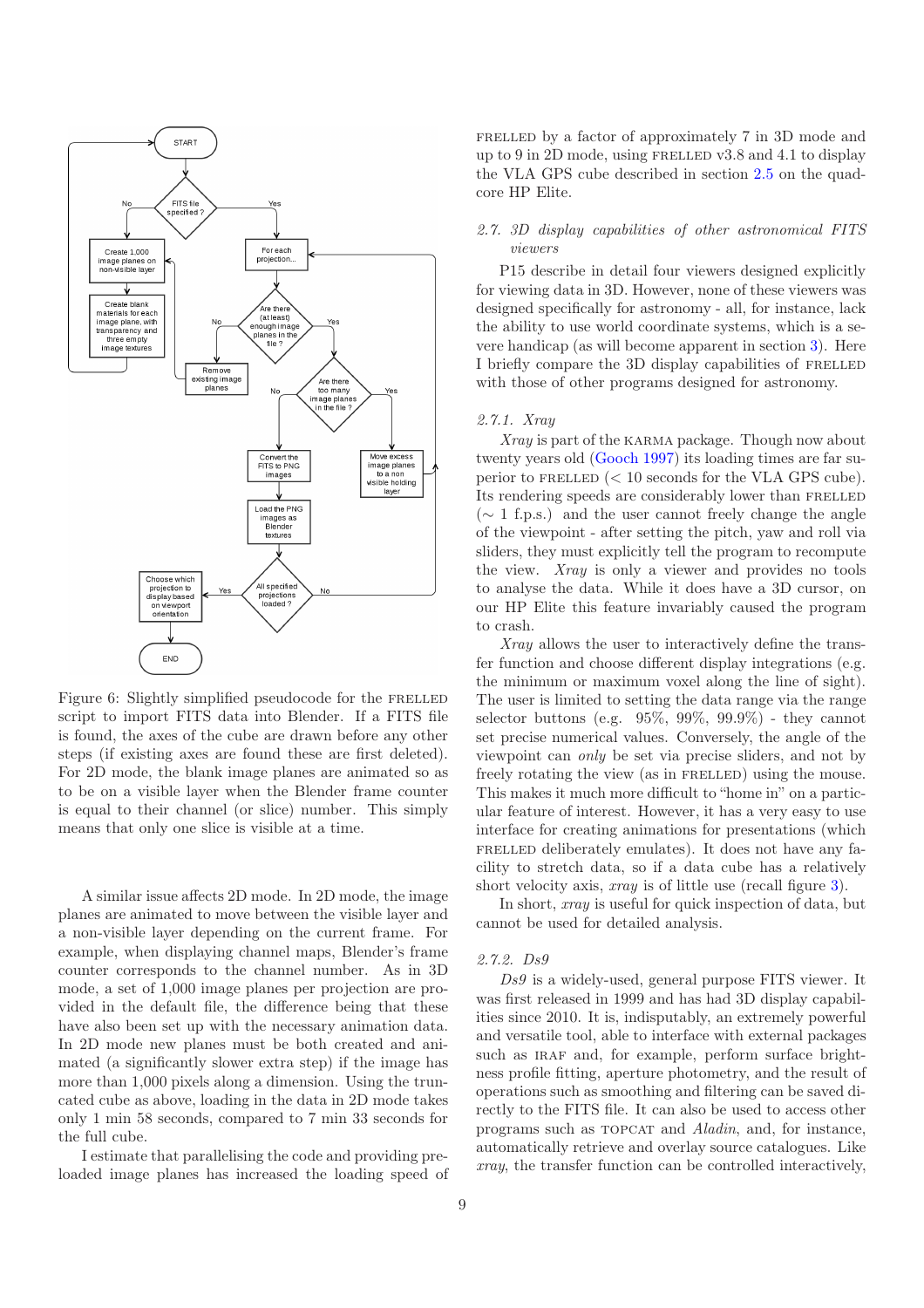<span id="page-8-1"></span>

Figure 6: Slightly simplified pseudocode for the FRELLED script to import FITS data into Blender. If a FITS file is found, the axes of the cube are drawn before any other steps (if existing axes are found these are first deleted). For 2D mode, the blank image planes are animated so as to be on a visible layer when the Blender frame counter is equal to their channel (or slice) number. This simply means that only one slice is visible at a time.

A similar issue affects 2D mode. In 2D mode, the image planes are animated to move between the visible layer and a non-visible layer depending on the current frame. For example, when displaying channel maps, Blender's frame counter corresponds to the channel number. As in 3D mode, a set of 1,000 image planes per projection are provided in the default file, the difference being that these have also been set up with the necessary animation data. In 2D mode new planes must be both created and animated (a significantly slower extra step) if the image has more than 1,000 pixels along a dimension. Using the truncated cube as above, loading in the data in 2D mode takes only 1 min 58 seconds, compared to 7 min 33 seconds for the full cube.

I estimate that parallelising the code and providing preloaded image planes has increased the loading speed of FRELLED by a factor of approximately 7 in 3D mode and up to 9 in 2D mode, using FRELLED v3.8 and 4.1 to display the VLA GPS cube described in section [2.5](#page-5-1) on the quadcore HP Elite.

# <span id="page-8-0"></span>*2.7. 3D display capabilities of other astronomical FITS viewers*

P15 describe in detail four viewers designed explicitly for viewing data in 3D. However, none of these viewers was designed specifically for astronomy - all, for instance, lack the ability to use world coordinate systems, which is a severe handicap (as will become apparent in section [3\)](#page-10-0). Here I briefly compare the 3D display capabilities of FRELLED with those of other programs designed for astronomy.

#### *2.7.1. Xray*

Xray is part of the KARMA package. Though now about twenty years old [\(Gooch 1997\)](#page-15-22) its loading times are far superior to FRELLED  $\left($  < 10 seconds for the VLA GPS cube). Its rendering speeds are considerably lower than FRELLED (∼ 1 f.p.s.) and the user cannot freely change the angle of the viewpoint - after setting the pitch, yaw and roll via sliders, they must explicitly tell the program to recompute the view. *Xray* is only a viewer and provides no tools to analyse the data. While it does have a 3D cursor, on our HP Elite this feature invariably caused the program to crash.

*Xray* allows the user to interactively define the transfer function and choose different display integrations (e.g. the minimum or maximum voxel along the line of sight). The user is limited to setting the data range via the range selector buttons (e.g.  $95\%, 99\%, 99.9\%$ ) - they cannot set precise numerical values. Conversely, the angle of the viewpoint can *only* be set via precise sliders, and not by freely rotating the view (as in FRELLED) using the mouse. This makes it much more difficult to "home in" on a particular feature of interest. However, it has a very easy to use interface for creating animations for presentations (which FRELLED deliberately emulates). It does not have any facility to stretch data, so if a data cube has a relatively short velocity axis, *xray* is of little use (recall figure [3\)](#page-5-0).

In short, *xray* is useful for quick inspection of data, but cannot be used for detailed analysis.

# *2.7.2. Ds9*

*Ds9* is a widely-used, general purpose FITS viewer. It was first released in 1999 and has had 3D display capabilities since 2010. It is, indisputably, an extremely powerful and versatile tool, able to interface with external packages such as IRAF and, for example, perform surface brightness profile fitting, aperture photometry, and the result of operations such as smoothing and filtering can be saved directly to the FITS file. It can also be used to access other programs such as topcat and *Aladin*, and, for instance, automatically retrieve and overlay source catalogues. Like *xray*, the transfer function can be controlled interactively,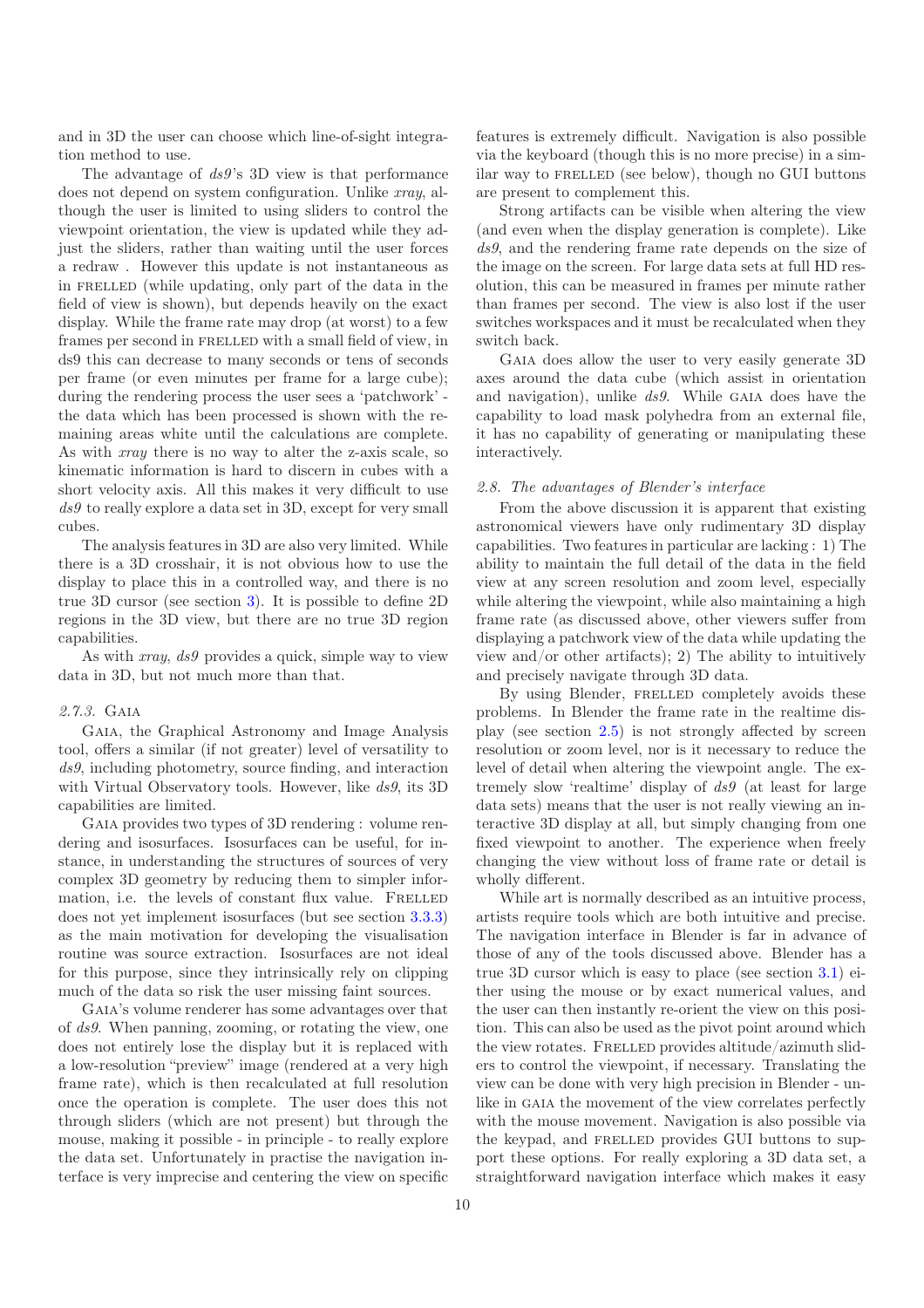and in 3D the user can choose which line-of-sight integration method to use.

The advantage of *ds9*'s 3D view is that performance does not depend on system configuration. Unlike *xray*, although the user is limited to using sliders to control the viewpoint orientation, the view is updated while they adjust the sliders, rather than waiting until the user forces a redraw . However this update is not instantaneous as in FRELLED (while updating, only part of the data in the field of view is shown), but depends heavily on the exact display. While the frame rate may drop (at worst) to a few frames per second in FRELLED with a small field of view, in ds9 this can decrease to many seconds or tens of seconds per frame (or even minutes per frame for a large cube); during the rendering process the user sees a 'patchwork' the data which has been processed is shown with the remaining areas white until the calculations are complete. As with *xray* there is no way to alter the z-axis scale, so kinematic information is hard to discern in cubes with a short velocity axis. All this makes it very difficult to use *ds9* to really explore a data set in 3D, except for very small cubes.

The analysis features in 3D are also very limited. While there is a 3D crosshair, it is not obvious how to use the display to place this in a controlled way, and there is no true 3D cursor (see section [3\)](#page-10-0). It is possible to define 2D regions in the 3D view, but there are no true 3D region capabilities.

As with *xray*, *ds9* provides a quick, simple way to view data in 3D, but not much more than that.

## *2.7.3.* Gaia

Gaia, the Graphical Astronomy and Image Analysis tool, offers a similar (if not greater) level of versatility to *ds9*, including photometry, source finding, and interaction with Virtual Observatory tools. However, like *ds9*, its 3D capabilities are limited.

GAIA provides two types of 3D rendering : volume rendering and isosurfaces. Isosurfaces can be useful, for instance, in understanding the structures of sources of very complex 3D geometry by reducing them to simpler information, i.e. the levels of constant flux value. FRELLED does not yet implement isosurfaces (but see section [3.3.3\)](#page-12-0) as the main motivation for developing the visualisation routine was source extraction. Isosurfaces are not ideal for this purpose, since they intrinsically rely on clipping much of the data so risk the user missing faint sources.

Gaia's volume renderer has some advantages over that of *ds9*. When panning, zooming, or rotating the view, one does not entirely lose the display but it is replaced with a low-resolution "preview" image (rendered at a very high frame rate), which is then recalculated at full resolution once the operation is complete. The user does this not through sliders (which are not present) but through the mouse, making it possible - in principle - to really explore the data set. Unfortunately in practise the navigation interface is very imprecise and centering the view on specific

features is extremely difficult. Navigation is also possible via the keyboard (though this is no more precise) in a similar way to FRELLED (see below), though no GUI buttons are present to complement this.

Strong artifacts can be visible when altering the view (and even when the display generation is complete). Like *ds9*, and the rendering frame rate depends on the size of the image on the screen. For large data sets at full HD resolution, this can be measured in frames per minute rather than frames per second. The view is also lost if the user switches workspaces and it must be recalculated when they switch back.

GAIA does allow the user to very easily generate 3D axes around the data cube (which assist in orientation and navigation), unlike *ds9*. While GAIA does have the capability to load mask polyhedra from an external file, it has no capability of generating or manipulating these interactively.

# *2.8. The advantages of Blender's interface*

From the above discussion it is apparent that existing astronomical viewers have only rudimentary 3D display capabilities. Two features in particular are lacking : 1) The ability to maintain the full detail of the data in the field view at any screen resolution and zoom level, especially while altering the viewpoint, while also maintaining a high frame rate (as discussed above, other viewers suffer from displaying a patchwork view of the data while updating the view and/or other artifacts); 2) The ability to intuitively and precisely navigate through 3D data.

By using Blender, FRELLED completely avoids these problems. In Blender the frame rate in the realtime display (see section [2.5\)](#page-5-1) is not strongly affected by screen resolution or zoom level, nor is it necessary to reduce the level of detail when altering the viewpoint angle. The extremely slow 'realtime' display of *ds9* (at least for large data sets) means that the user is not really viewing an interactive 3D display at all, but simply changing from one fixed viewpoint to another. The experience when freely changing the view without loss of frame rate or detail is wholly different.

While art is normally described as an intuitive process, artists require tools which are both intuitive and precise. The navigation interface in Blender is far in advance of those of any of the tools discussed above. Blender has a true 3D cursor which is easy to place (see section [3.1\)](#page-10-1) either using the mouse or by exact numerical values, and the user can then instantly re-orient the view on this position. This can also be used as the pivot point around which the view rotates. FRELLED provides altitude/azimuth sliders to control the viewpoint, if necessary. Translating the view can be done with very high precision in Blender - unlike in GAIA the movement of the view correlates perfectly with the mouse movement. Navigation is also possible via the keypad, and FRELLED provides GUI buttons to support these options. For really exploring a 3D data set, a straightforward navigation interface which makes it easy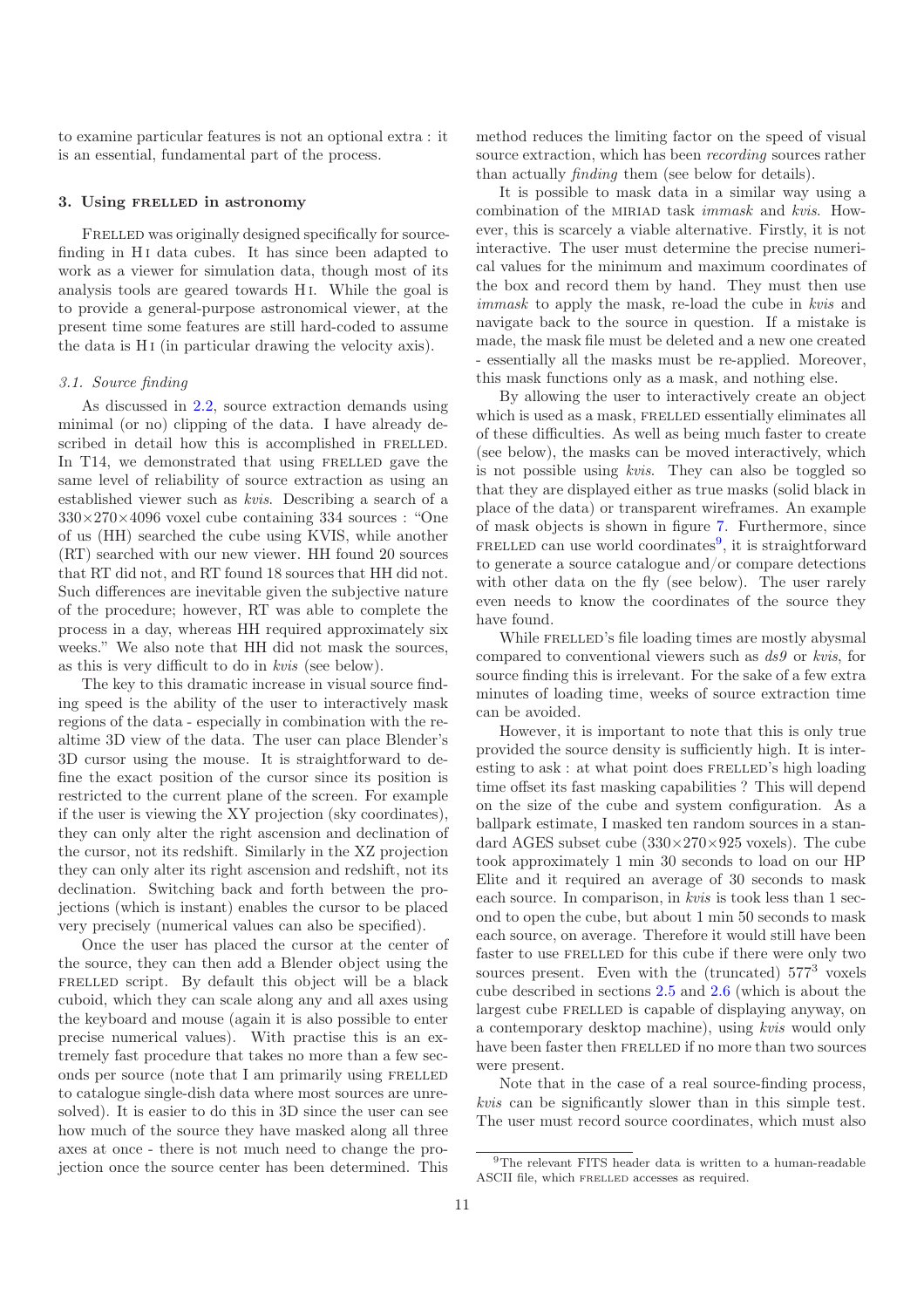to examine particular features is not an optional extra : it is an essential, fundamental part of the process.

### <span id="page-10-0"></span>3. Using FRELLED in astronomy

FRELLED was originally designed specifically for sourcefinding in  $H I$  data cubes. It has since been adapted to work as a viewer for simulation data, though most of its analysis tools are geared towards H i. While the goal is to provide a general-purpose astronomical viewer, at the present time some features are still hard-coded to assume the data is H<sub>I</sub> (in particular drawing the velocity axis).

### <span id="page-10-1"></span>*3.1. Source finding*

As discussed in [2.2,](#page-2-2) source extraction demands using minimal (or no) clipping of the data. I have already described in detail how this is accomplished in FRELLED. In T14, we demonstrated that using FRELLED gave the same level of reliability of source extraction as using an established viewer such as *kvis*. Describing a search of a  $330\times270\times4096$  voxel cube containing 334 sources : "One of us (HH) searched the cube using KVIS, while another (RT) searched with our new viewer. HH found 20 sources that RT did not, and RT found 18 sources that HH did not. Such differences are inevitable given the subjective nature of the procedure; however, RT was able to complete the process in a day, whereas HH required approximately six weeks." We also note that HH did not mask the sources, as this is very difficult to do in *kvis* (see below).

The key to this dramatic increase in visual source finding speed is the ability of the user to interactively mask regions of the data - especially in combination with the realtime 3D view of the data. The user can place Blender's 3D cursor using the mouse. It is straightforward to define the exact position of the cursor since its position is restricted to the current plane of the screen. For example if the user is viewing the XY projection (sky coordinates), they can only alter the right ascension and declination of the cursor, not its redshift. Similarly in the XZ projection they can only alter its right ascension and redshift, not its declination. Switching back and forth between the projections (which is instant) enables the cursor to be placed very precisely (numerical values can also be specified).

Once the user has placed the cursor at the center of the source, they can then add a Blender object using the FRELLED script. By default this object will be a black cuboid, which they can scale along any and all axes using the keyboard and mouse (again it is also possible to enter precise numerical values). With practise this is an extremely fast procedure that takes no more than a few seconds per source (note that I am primarily using FRELLED to catalogue single-dish data where most sources are unresolved). It is easier to do this in 3D since the user can see how much of the source they have masked along all three axes at once - there is not much need to change the projection once the source center has been determined. This

method reduces the limiting factor on the speed of visual source extraction, which has been *recording* sources rather than actually *finding* them (see below for details).

It is possible to mask data in a similar way using a combination of the miriad task *immask* and *kvis*. However, this is scarcely a viable alternative. Firstly, it is not interactive. The user must determine the precise numerical values for the minimum and maximum coordinates of the box and record them by hand. They must then use *immask* to apply the mask, re-load the cube in *kvis* and navigate back to the source in question. If a mistake is made, the mask file must be deleted and a new one created - essentially all the masks must be re-applied. Moreover, this mask functions only as a mask, and nothing else.

By allowing the user to interactively create an object which is used as a mask, FRELLED essentially eliminates all of these difficulties. As well as being much faster to create (see below), the masks can be moved interactively, which is not possible using *kvis*. They can also be toggled so that they are displayed either as true masks (solid black in place of the data) or transparent wireframes. An example of mask objects is shown in figure [7.](#page-11-1) Furthermore, since FRELLED can use world coordinates<sup>[9](#page-10-2)</sup>, it is straightforward to generate a source catalogue and/or compare detections with other data on the fly (see below). The user rarely even needs to know the coordinates of the source they have found.

While FRELLED's file loading times are mostly abysmal compared to conventional viewers such as *ds9* or *kvis*, for source finding this is irrelevant. For the sake of a few extra minutes of loading time, weeks of source extraction time can be avoided.

However, it is important to note that this is only true provided the source density is sufficiently high. It is interesting to ask : at what point does  $FRELED's$  high loading time offset its fast masking capabilities ? This will depend on the size of the cube and system configuration. As a ballpark estimate, I masked ten random sources in a standard AGES subset cube (330×270×925 voxels). The cube took approximately 1 min 30 seconds to load on our HP Elite and it required an average of 30 seconds to mask each source. In comparison, in *kvis* is took less than 1 second to open the cube, but about 1 min 50 seconds to mask each source, on average. Therefore it would still have been faster to use FRELLED for this cube if there were only two sources present. Even with the (truncated)  $577<sup>3</sup>$  voxels cube described in sections [2.5](#page-5-1) and [2.6](#page-7-0) (which is about the largest cube FRELLED is capable of displaying anyway, on a contemporary desktop machine), using *kvis* would only have been faster then FRELLED if no more than two sources were present.

Note that in the case of a real source-finding process, *kvis* can be significantly slower than in this simple test. The user must record source coordinates, which must also

<span id="page-10-2"></span><sup>9</sup>The relevant FITS header data is written to a human-readable ASCII file, which FRELLED accesses as required.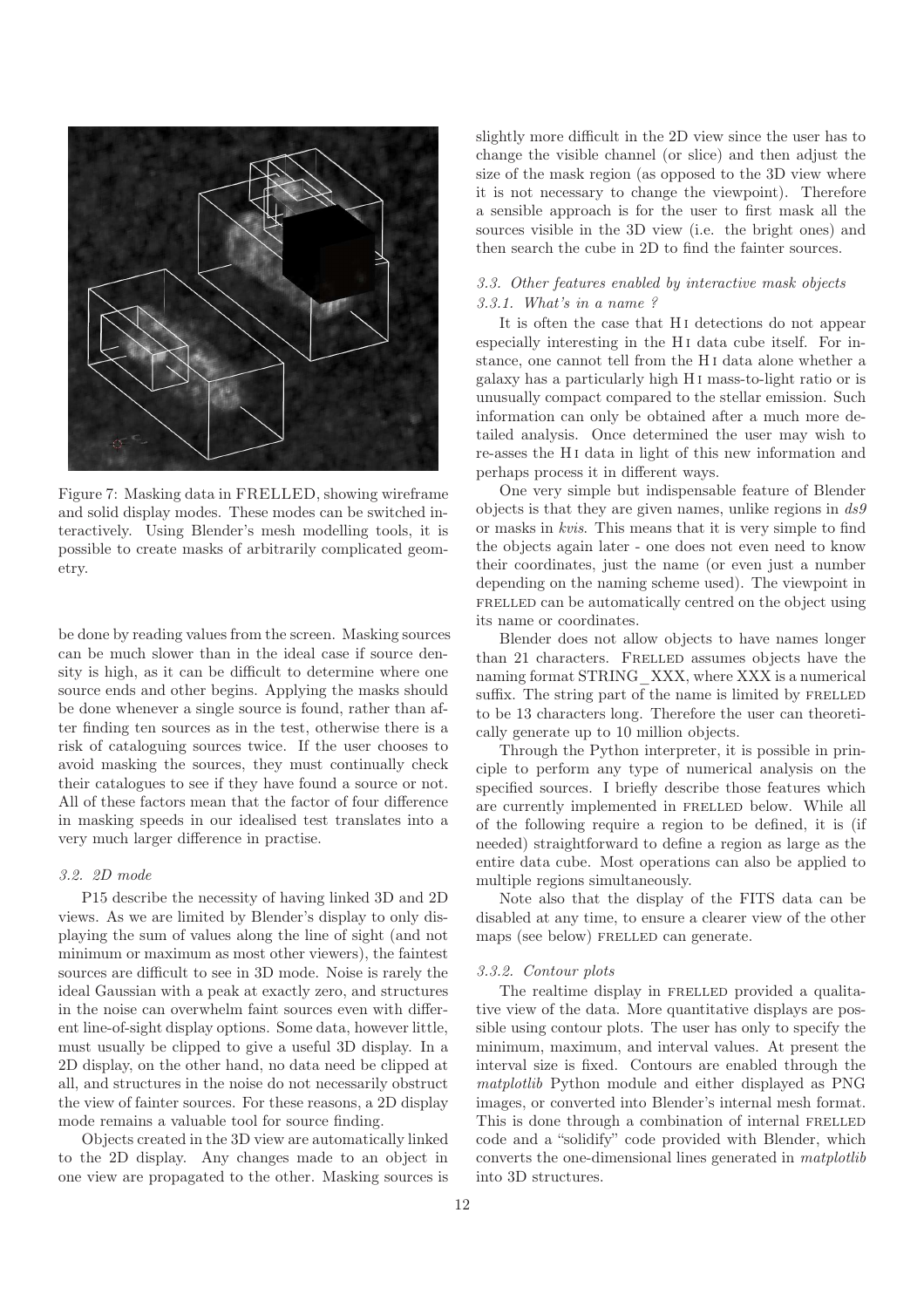<span id="page-11-1"></span>

Figure 7: Masking data in FRELLED, showing wireframe and solid display modes. These modes can be switched interactively. Using Blender's mesh modelling tools, it is possible to create masks of arbitrarily complicated geometry.

be done by reading values from the screen. Masking sources can be much slower than in the ideal case if source density is high, as it can be difficult to determine where one source ends and other begins. Applying the masks should be done whenever a single source is found, rather than after finding ten sources as in the test, otherwise there is a risk of cataloguing sources twice. If the user chooses to avoid masking the sources, they must continually check their catalogues to see if they have found a source or not. All of these factors mean that the factor of four difference in masking speeds in our idealised test translates into a very much larger difference in practise.

# <span id="page-11-0"></span>*3.2. 2D mode*

P15 describe the necessity of having linked 3D and 2D views. As we are limited by Blender's display to only displaying the sum of values along the line of sight (and not minimum or maximum as most other viewers), the faintest sources are difficult to see in 3D mode. Noise is rarely the ideal Gaussian with a peak at exactly zero, and structures in the noise can overwhelm faint sources even with different line-of-sight display options. Some data, however little, must usually be clipped to give a useful 3D display. In a 2D display, on the other hand, no data need be clipped at all, and structures in the noise do not necessarily obstruct the view of fainter sources. For these reasons, a 2D display mode remains a valuable tool for source finding.

Objects created in the 3D view are automatically linked to the 2D display. Any changes made to an object in one view are propagated to the other. Masking sources is

slightly more difficult in the 2D view since the user has to change the visible channel (or slice) and then adjust the size of the mask region (as opposed to the 3D view where it is not necessary to change the viewpoint). Therefore a sensible approach is for the user to first mask all the sources visible in the 3D view (i.e. the bright ones) and then search the cube in 2D to find the fainter sources.

# *3.3. Other features enabled by interactive mask objects 3.3.1. What's in a name ?*

It is often the case that H<sub>I</sub> detections do not appear especially interesting in the H<sub>I</sub> data cube itself. For instance, one cannot tell from the H i data alone whether a galaxy has a particularly high H i mass-to-light ratio or is unusually compact compared to the stellar emission. Such information can only be obtained after a much more detailed analysis. Once determined the user may wish to re-asses the H i data in light of this new information and perhaps process it in different ways.

One very simple but indispensable feature of Blender objects is that they are given names, unlike regions in *ds9* or masks in *kvis*. This means that it is very simple to find the objects again later - one does not even need to know their coordinates, just the name (or even just a number depending on the naming scheme used). The viewpoint in FRELLED can be automatically centred on the object using its name or coordinates.

Blender does not allow objects to have names longer than 21 characters. FRELLED assumes objects have the naming format STRING\_XXX, where XXX is a numerical suffix. The string part of the name is limited by FRELLED to be 13 characters long. Therefore the user can theoretically generate up to 10 million objects.

Through the Python interpreter, it is possible in principle to perform any type of numerical analysis on the specified sources. I briefly describe those features which are currently implemented in FRELLED below. While all of the following require a region to be defined, it is (if needed) straightforward to define a region as large as the entire data cube. Most operations can also be applied to multiple regions simultaneously.

Note also that the display of the FITS data can be disabled at any time, to ensure a clearer view of the other maps (see below) FRELLED can generate.

#### *3.3.2. Contour plots*

The realtime display in FRELLED provided a qualitative view of the data. More quantitative displays are possible using contour plots. The user has only to specify the minimum, maximum, and interval values. At present the interval size is fixed. Contours are enabled through the *matplotlib* Python module and either displayed as PNG images, or converted into Blender's internal mesh format. This is done through a combination of internal FRELLED code and a "solidify" code provided with Blender, which converts the one-dimensional lines generated in *matplotlib* into 3D structures.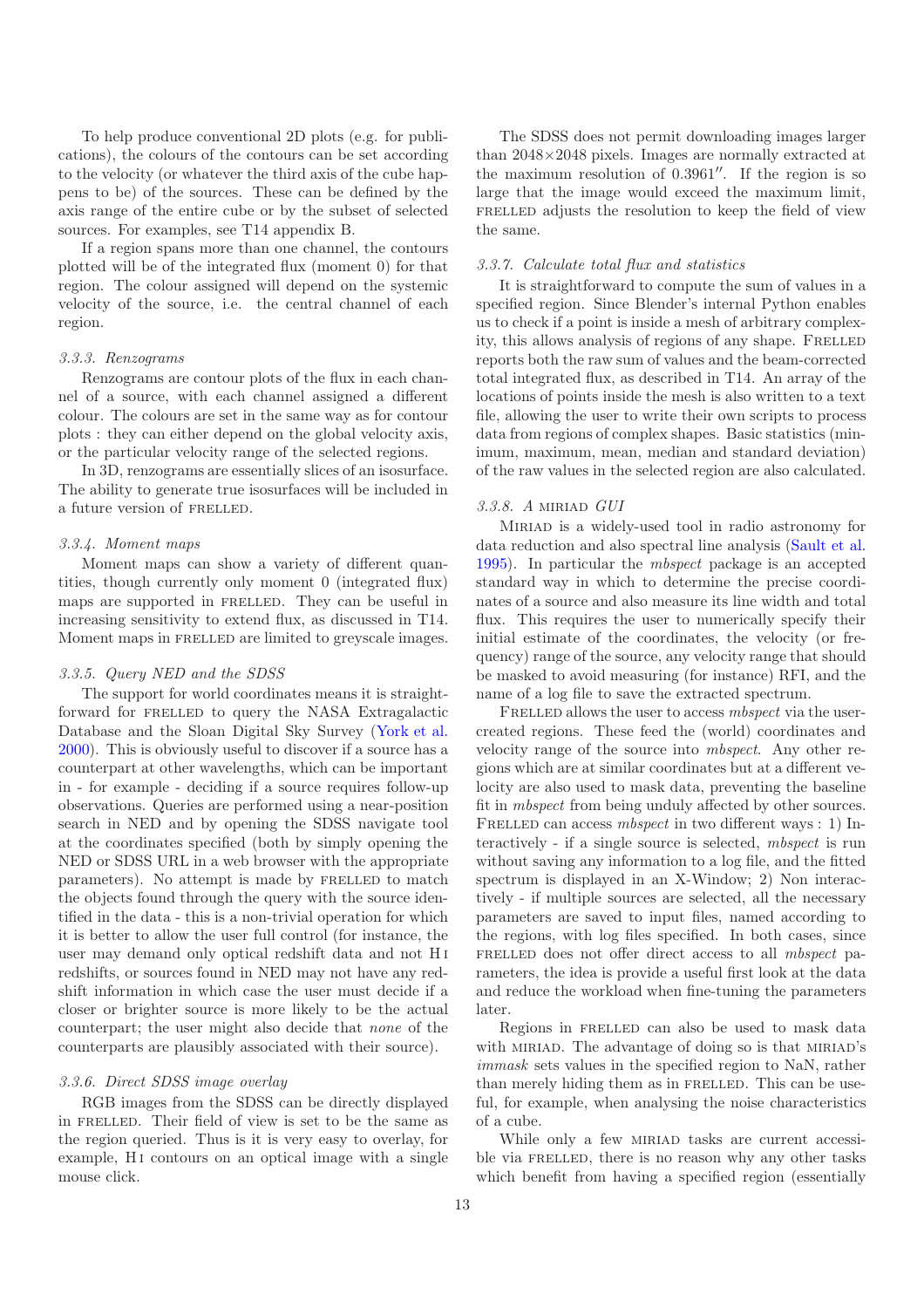To help produce conventional 2D plots (e.g. for publications), the colours of the contours can be set according to the velocity (or whatever the third axis of the cube happens to be) of the sources. These can be defined by the axis range of the entire cube or by the subset of selected sources. For examples, see T14 appendix B.

If a region spans more than one channel, the contours plotted will be of the integrated flux (moment 0) for that region. The colour assigned will depend on the systemic velocity of the source, i.e. the central channel of each region.

#### <span id="page-12-0"></span>*3.3.3. Renzograms*

Renzograms are contour plots of the flux in each channel of a source, with each channel assigned a different colour. The colours are set in the same way as for contour plots : they can either depend on the global velocity axis, or the particular velocity range of the selected regions.

In 3D, renzograms are essentially slices of an isosurface. The ability to generate true isosurfaces will be included in a future version of  $\tt{FRELLED}.$ 

#### *3.3.4. Moment maps*

Moment maps can show a variety of different quantities, though currently only moment 0 (integrated flux) maps are supported in FRELLED. They can be useful in increasing sensitivity to extend flux, as discussed in T14. Moment maps in FRELLED are limited to greyscale images.

# *3.3.5. Query NED and the SDSS*

The support for world coordinates means it is straightforward for FRELLED to query the NASA Extragalactic Database and the Sloan Digital Sky Survey [\(York et al.](#page-15-23) [2000\)](#page-15-23). This is obviously useful to discover if a source has a counterpart at other wavelengths, which can be important in - for example - deciding if a source requires follow-up observations. Queries are performed using a near-position search in NED and by opening the SDSS navigate tool at the coordinates specified (both by simply opening the NED or SDSS URL in a web browser with the appropriate parameters). No attempt is made by FRELLED to match the objects found through the query with the source identified in the data - this is a non-trivial operation for which it is better to allow the user full control (for instance, the user may demand only optical redshift data and not H i redshifts, or sources found in NED may not have any redshift information in which case the user must decide if a closer or brighter source is more likely to be the actual counterpart; the user might also decide that *none* of the counterparts are plausibly associated with their source).

# *3.3.6. Direct SDSS image overlay*

RGB images from the SDSS can be directly displayed in FRELLED. Their field of view is set to be the same as the region queried. Thus is it is very easy to overlay, for example, H<sub>I</sub> contours on an optical image with a single mouse click.

The SDSS does not permit downloading images larger than 2048×2048 pixels. Images are normally extracted at the maximum resolution of 0.3961′′. If the region is so large that the image would exceed the maximum limit, FRELLED adjusts the resolution to keep the field of view the same.

### *3.3.7. Calculate total flux and statistics*

It is straightforward to compute the sum of values in a specified region. Since Blender's internal Python enables us to check if a point is inside a mesh of arbitrary complexity, this allows analysis of regions of any shape. FRELLED reports both the raw sum of values and the beam-corrected total integrated flux, as described in T14. An array of the locations of points inside the mesh is also written to a text file, allowing the user to write their own scripts to process data from regions of complex shapes. Basic statistics (minimum, maximum, mean, median and standard deviation) of the raw values in the selected region are also calculated.

#### *3.3.8. A* miriad *GUI*

Miriad is a widely-used tool in radio astronomy for data reduction and also spectral line analysis [\(Sault et al.](#page-15-24) [1995\)](#page-15-24). In particular the *mbspect* package is an accepted standard way in which to determine the precise coordinates of a source and also measure its line width and total flux. This requires the user to numerically specify their initial estimate of the coordinates, the velocity (or frequency) range of the source, any velocity range that should be masked to avoid measuring (for instance) RFI, and the name of a log file to save the extracted spectrum.

FRELLED allows the user to access *mbspect* via the usercreated regions. These feed the (world) coordinates and velocity range of the source into *mbspect*. Any other regions which are at similar coordinates but at a different velocity are also used to mask data, preventing the baseline fit in *mbspect* from being unduly affected by other sources. FRELLED can access *mbspect* in two different ways : 1) Interactively - if a single source is selected, *mbspect* is run without saving any information to a log file, and the fitted spectrum is displayed in an X-Window; 2) Non interactively - if multiple sources are selected, all the necessary parameters are saved to input files, named according to the regions, with log files specified. In both cases, since frelled does not offer direct access to all *mbspect* parameters, the idea is provide a useful first look at the data and reduce the workload when fine-tuning the parameters later.

Regions in FRELLED can also be used to mask data with MIRIAD. The advantage of doing so is that MIRIAD's *immask* sets values in the specified region to NaN, rather than merely hiding them as in FRELLED. This can be useful, for example, when analysing the noise characteristics of a cube.

While only a few MIRIAD tasks are current accessible via FRELLED, there is no reason why any other tasks which benefit from having a specified region (essentially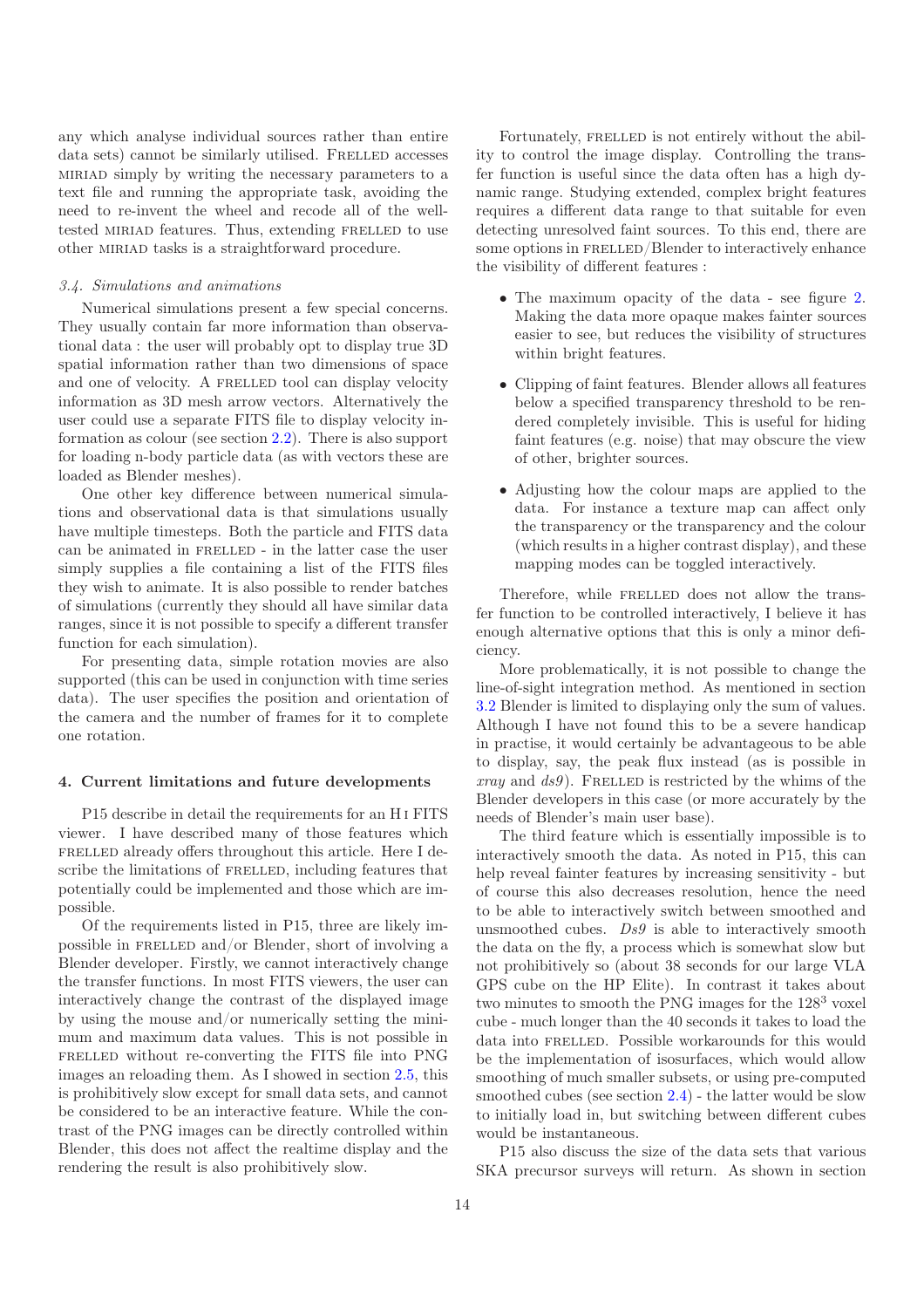any which analyse individual sources rather than entire data sets) cannot be similarly utilised. FRELLED accesses miriad simply by writing the necessary parameters to a text file and running the appropriate task, avoiding the need to re-invent the wheel and recode all of the welltested MIRIAD features. Thus, extending FRELLED to use other miriad tasks is a straightforward procedure.

#### *3.4. Simulations and animations*

Numerical simulations present a few special concerns. They usually contain far more information than observational data : the user will probably opt to display true 3D spatial information rather than two dimensions of space and one of velocity. A FRELLED tool can display velocity information as 3D mesh arrow vectors. Alternatively the user could use a separate FITS file to display velocity information as colour (see section [2.2\)](#page-2-2). There is also support for loading n-body particle data (as with vectors these are loaded as Blender meshes).

One other key difference between numerical simulations and observational data is that simulations usually have multiple timesteps. Both the particle and FITS data can be animated in FRELLED - in the latter case the user simply supplies a file containing a list of the FITS files they wish to animate. It is also possible to render batches of simulations (currently they should all have similar data ranges, since it is not possible to specify a different transfer function for each simulation).

For presenting data, simple rotation movies are also supported (this can be used in conjunction with time series data). The user specifies the position and orientation of the camera and the number of frames for it to complete one rotation.

#### <span id="page-13-0"></span>4. Current limitations and future developments

P15 describe in detail the requirements for an H i FITS viewer. I have described many of those features which FRELLED already offers throughout this article. Here I describe the limitations of FRELLED, including features that potentially could be implemented and those which are impossible.

Of the requirements listed in P15, three are likely impossible in FRELLED and/or Blender, short of involving a Blender developer. Firstly, we cannot interactively change the transfer functions. In most FITS viewers, the user can interactively change the contrast of the displayed image by using the mouse and/or numerically setting the minimum and maximum data values. This is not possible in frelled without re-converting the FITS file into PNG images an reloading them. As I showed in section [2.5,](#page-5-1) this is prohibitively slow except for small data sets, and cannot be considered to be an interactive feature. While the contrast of the PNG images can be directly controlled within Blender, this does not affect the realtime display and the rendering the result is also prohibitively slow.

Fortunately, FRELLED is not entirely without the ability to control the image display. Controlling the transfer function is useful since the data often has a high dynamic range. Studying extended, complex bright features requires a different data range to that suitable for even detecting unresolved faint sources. To this end, there are some options in FRELLED/Blender to interactively enhance the visibility of different features :

- The maximum opacity of the data see figure [2.](#page-4-0) Making the data more opaque makes fainter sources easier to see, but reduces the visibility of structures within bright features.
- Clipping of faint features. Blender allows all features below a specified transparency threshold to be rendered completely invisible. This is useful for hiding faint features (e.g. noise) that may obscure the view of other, brighter sources.
- Adjusting how the colour maps are applied to the data. For instance a texture map can affect only the transparency or the transparency and the colour (which results in a higher contrast display), and these mapping modes can be toggled interactively.

Therefore, while FRELLED does not allow the transfer function to be controlled interactively, I believe it has enough alternative options that this is only a minor deficiency.

More problematically, it is not possible to change the line-of-sight integration method. As mentioned in section [3.2](#page-11-0) Blender is limited to displaying only the sum of values. Although I have not found this to be a severe handicap in practise, it would certainly be advantageous to be able to display, say, the peak flux instead (as is possible in *xray* and  $ds9$ . FRELLED is restricted by the whims of the Blender developers in this case (or more accurately by the needs of Blender's main user base).

The third feature which is essentially impossible is to interactively smooth the data. As noted in P15, this can help reveal fainter features by increasing sensitivity - but of course this also decreases resolution, hence the need to be able to interactively switch between smoothed and unsmoothed cubes. *Ds9* is able to interactively smooth the data on the fly, a process which is somewhat slow but not prohibitively so (about 38 seconds for our large VLA GPS cube on the HP Elite). In contrast it takes about two minutes to smooth the PNG images for the  $128<sup>3</sup>$  voxel cube - much longer than the 40 seconds it takes to load the data into FRELLED. Possible workarounds for this would be the implementation of isosurfaces, which would allow smoothing of much smaller subsets, or using pre-computed smoothed cubes (see section  $2.4$ ) - the latter would be slow to initially load in, but switching between different cubes would be instantaneous.

P15 also discuss the size of the data sets that various SKA precursor surveys will return. As shown in section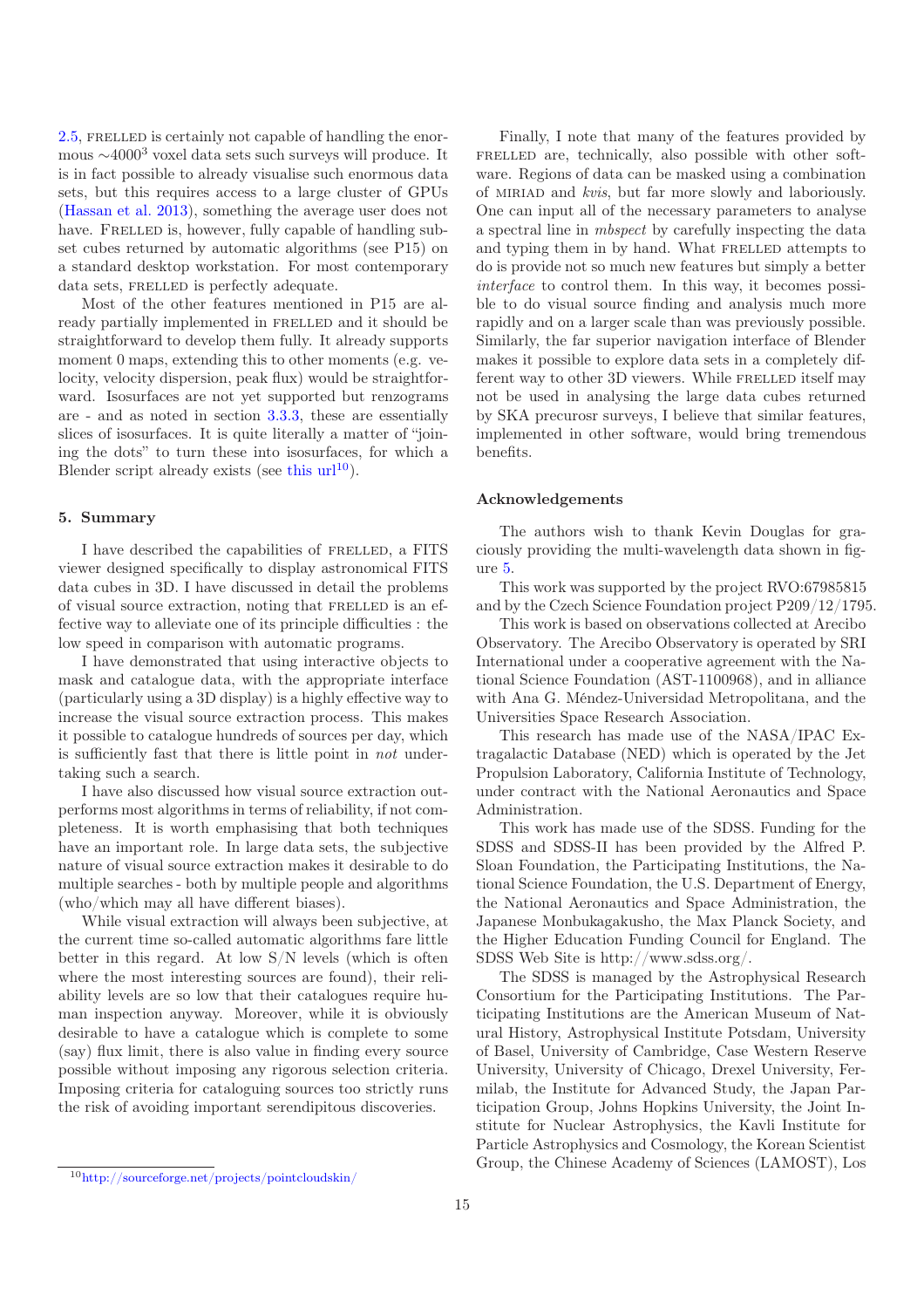[2.5,](#page-5-1) FRELLED is certainly not capable of handling the enormous ∼4000<sup>3</sup> voxel data sets such surveys will produce. It is in fact possible to already visualise such enormous data sets, but this requires access to a large cluster of GPUs [\(Hassan et al. 2013\)](#page-15-25), something the average user does not have. FRELLED is, however, fully capable of handling subset cubes returned by automatic algorithms (see P15) on a standard desktop workstation. For most contemporary data sets, FRELLED is perfectly adequate.

Most of the other features mentioned in P15 are already partially implemented in FRELLED and it should be straightforward to develop them fully. It already supports moment 0 maps, extending this to other moments (e.g. velocity, velocity dispersion, peak flux) would be straightforward. Isosurfaces are not yet supported but renzograms are - and as noted in section [3.3.3,](#page-12-0) these are essentially slices of isosurfaces. It is quite literally a matter of "joining the dots" to turn these into isosurfaces, for which a Blender script already exists (see this  $\text{url}^{10}$  $\text{url}^{10}$  $\text{url}^{10}$ ).

### <span id="page-14-0"></span>5. Summary

I have described the capabilities of FRELLED, a FITS viewer designed specifically to display astronomical FITS data cubes in 3D. I have discussed in detail the problems of visual source extraction, noting that FRELLED is an effective way to alleviate one of its principle difficulties : the low speed in comparison with automatic programs.

I have demonstrated that using interactive objects to mask and catalogue data, with the appropriate interface (particularly using a 3D display) is a highly effective way to increase the visual source extraction process. This makes it possible to catalogue hundreds of sources per day, which is sufficiently fast that there is little point in *not* undertaking such a search.

I have also discussed how visual source extraction outperforms most algorithms in terms of reliability, if not completeness. It is worth emphasising that both techniques have an important role. In large data sets, the subjective nature of visual source extraction makes it desirable to do multiple searches - both by multiple people and algorithms (who/which may all have different biases).

While visual extraction will always been subjective, at the current time so-called automatic algorithms fare little better in this regard. At low S/N levels (which is often where the most interesting sources are found), their reliability levels are so low that their catalogues require human inspection anyway. Moreover, while it is obviously desirable to have a catalogue which is complete to some (say) flux limit, there is also value in finding every source possible without imposing any rigorous selection criteria. Imposing criteria for cataloguing sources too strictly runs the risk of avoiding important serendipitous discoveries.

Finally, I note that many of the features provided by FRELLED are, technically, also possible with other software. Regions of data can be masked using a combination of miriad and *kvis*, but far more slowly and laboriously. One can input all of the necessary parameters to analyse a spectral line in *mbspect* by carefully inspecting the data and typing them in by hand. What FRELLED attempts to do is provide not so much new features but simply a better *interface* to control them. In this way, it becomes possible to do visual source finding and analysis much more rapidly and on a larger scale than was previously possible. Similarly, the far superior navigation interface of Blender makes it possible to explore data sets in a completely different way to other 3D viewers. While FRELLED itself may not be used in analysing the large data cubes returned by SKA precurosr surveys, I believe that similar features, implemented in other software, would bring tremendous benefits.

### Acknowledgements

The authors wish to thank Kevin Douglas for graciously providing the multi-wavelength data shown in figure [5.](#page-7-1)

This work was supported by the project RVO:67985815 and by the Czech Science Foundation project P209/12/1795.

This work is based on observations collected at Arecibo Observatory. The Arecibo Observatory is operated by SRI International under a cooperative agreement with the National Science Foundation (AST-1100968), and in alliance with Ana G. Méndez-Universidad Metropolitana, and the Universities Space Research Association.

This research has made use of the NASA/IPAC Extragalactic Database (NED) which is operated by the Jet Propulsion Laboratory, California Institute of Technology, under contract with the National Aeronautics and Space Administration.

This work has made use of the SDSS. Funding for the SDSS and SDSS-II has been provided by the Alfred P. Sloan Foundation, the Participating Institutions, the National Science Foundation, the U.S. Department of Energy, the National Aeronautics and Space Administration, the Japanese Monbukagakusho, the Max Planck Society, and the Higher Education Funding Council for England. The SDSS Web Site is http://www.sdss.org/.

The SDSS is managed by the Astrophysical Research Consortium for the Participating Institutions. The Participating Institutions are the American Museum of Natural History, Astrophysical Institute Potsdam, University of Basel, University of Cambridge, Case Western Reserve University, University of Chicago, Drexel University, Fermilab, the Institute for Advanced Study, the Japan Participation Group, Johns Hopkins University, the Joint Institute for Nuclear Astrophysics, the Kavli Institute for Particle Astrophysics and Cosmology, the Korean Scientist Group, the Chinese Academy of Sciences (LAMOST), Los

<span id="page-14-1"></span> $\rm ^{10}http://sourceforge.net/projects/pointcloudskin/$  $\rm ^{10}http://sourceforge.net/projects/pointcloudskin/$